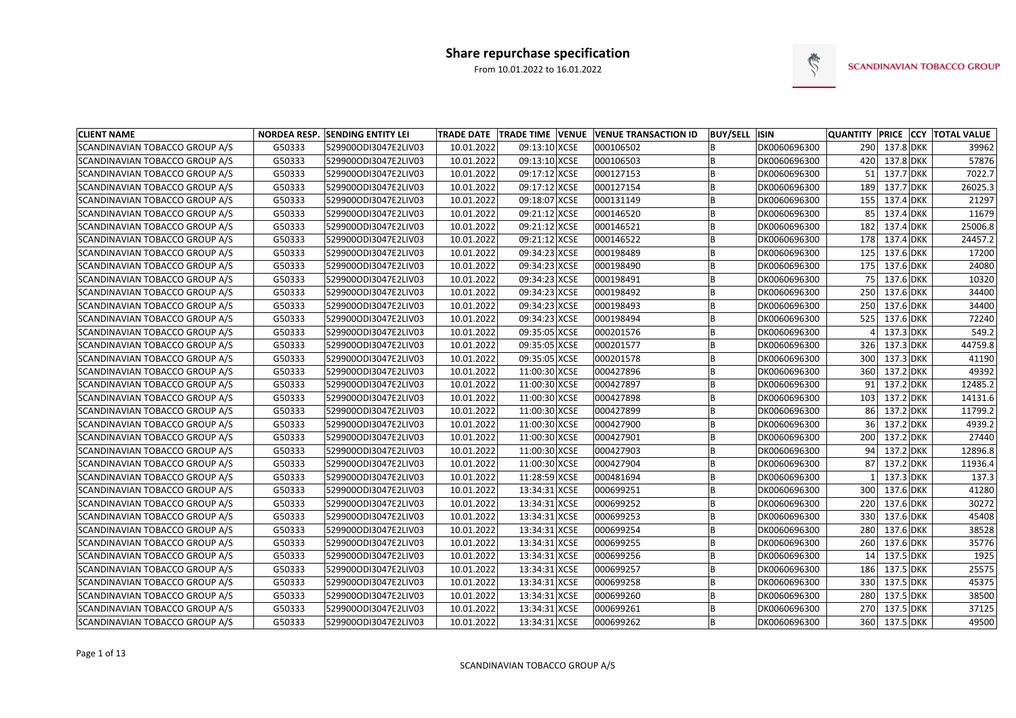

| <b>CLIENT NAME</b>             |        | <b>NORDEA RESP. SENDING ENTITY LEI</b> |            |               | TRADE DATE   TRADE TIME   VENUE   VENUE TRANSACTION ID | <b>BUY/SELL ISIN</b> |              |     |               | QUANTITY PRICE CCY TOTAL VALUE |
|--------------------------------|--------|----------------------------------------|------------|---------------|--------------------------------------------------------|----------------------|--------------|-----|---------------|--------------------------------|
| SCANDINAVIAN TOBACCO GROUP A/S | G50333 | 529900ODI3047E2LIV03                   | 10.01.2022 | 09:13:10 XCSE | 000106502                                              |                      | DK0060696300 | 290 | 137.8 DKK     | 39962                          |
| SCANDINAVIAN TOBACCO GROUP A/S | G50333 | 529900ODI3047E2LIV03                   | 10.01.2022 | 09:13:10 XCSE | 000106503                                              | l B                  | DK0060696300 | 420 | 137.8 DKK     | 57876                          |
| SCANDINAVIAN TOBACCO GROUP A/S | G50333 | 529900ODI3047E2LIV03                   | 10.01.2022 | 09:17:12 XCSE | 000127153                                              | B                    | DK0060696300 | 51  | 137.7 DKK     | 7022.7                         |
| SCANDINAVIAN TOBACCO GROUP A/S | G50333 | 529900ODI3047E2LIV03                   | 10.01.2022 | 09:17:12 XCSE | 000127154                                              | l B                  | DK0060696300 | 189 | $137.7$ DKK   | 26025.3                        |
| SCANDINAVIAN TOBACCO GROUP A/S | G50333 | 529900ODI3047E2LIV03                   | 10.01.2022 | 09:18:07 XCSE | 000131149                                              | B                    | DK0060696300 | 155 | $137.4$ DKK   | 21297                          |
| SCANDINAVIAN TOBACCO GROUP A/S | G50333 | 529900ODI3047E2LIV03                   | 10.01.2022 | 09:21:12 XCSE | 000146520                                              | ΙB                   | DK0060696300 | 85  | $137.4$ DKK   | 11679                          |
| SCANDINAVIAN TOBACCO GROUP A/S | G50333 | 529900ODI3047E2LIV03                   | 10.01.2022 | 09:21:12 XCSE | 000146521                                              | l B                  | DK0060696300 | 182 | $137.4$ DKK   | 25006.8                        |
| SCANDINAVIAN TOBACCO GROUP A/S | G50333 | 529900ODI3047E2LIV03                   | 10.01.2022 | 09:21:12 XCSE | 000146522                                              | l B                  | DK0060696300 | 178 | 137.4 DKK     | 24457.2                        |
| SCANDINAVIAN TOBACCO GROUP A/S | G50333 | 529900ODI3047E2LIV03                   | 10.01.2022 | 09:34:23 XCSE | 000198489                                              | IB                   | DK0060696300 | 125 | 137.6 DKK     | 17200                          |
| SCANDINAVIAN TOBACCO GROUP A/S | G50333 | 529900ODI3047E2LIV03                   | 10.01.2022 | 09:34:23 XCSE | 000198490                                              | İΒ                   | DK0060696300 | 175 | $137.6$ DKK   | 24080                          |
| SCANDINAVIAN TOBACCO GROUP A/S | G50333 | 529900ODI3047E2LIV03                   | 10.01.2022 | 09:34:23 XCSE | 000198491                                              | ΙB                   | DK0060696300 | 75  | $137.6$ DKK   | 10320                          |
| SCANDINAVIAN TOBACCO GROUP A/S | G50333 | 529900ODI3047E2LIV03                   | 10.01.2022 | 09:34:23 XCSE | 000198492                                              | l B                  | DK0060696300 | 250 | $137.6$ DKK   | 34400                          |
| SCANDINAVIAN TOBACCO GROUP A/S | G50333 | 529900ODI3047E2LIV03                   | 10.01.2022 | 09:34:23 XCSE | 000198493                                              | IB                   | DK0060696300 | 250 | 137.6 DKK     | 34400                          |
| SCANDINAVIAN TOBACCO GROUP A/S | G50333 | 529900ODI3047E2LIV03                   | 10.01.2022 | 09:34:23 XCSE | 000198494                                              | B                    | DK0060696300 | 525 | 137.6 DKK     | 72240                          |
| SCANDINAVIAN TOBACCO GROUP A/S | G50333 | 529900ODI3047E2LIV03                   | 10.01.2022 | 09:35:05 XCSE | 000201576                                              | ΙB                   | DK0060696300 |     | 137.3 DKK     | 549.2                          |
| SCANDINAVIAN TOBACCO GROUP A/S | G50333 | 529900ODI3047E2LIV03                   | 10.01.2022 | 09:35:05 XCSE | 000201577                                              | l B                  | DK0060696300 | 326 | $137.3$ DKK   | 44759.8                        |
| SCANDINAVIAN TOBACCO GROUP A/S | G50333 | 529900ODI3047E2LIV03                   | 10.01.2022 | 09:35:05 XCSE | 000201578                                              | l B                  | DK0060696300 | 300 | $137.3$ DKK   | 41190                          |
| SCANDINAVIAN TOBACCO GROUP A/S | G50333 | 529900ODI3047E2LIV03                   | 10.01.2022 | 11:00:30 XCSE | 000427896                                              | l B                  | DK0060696300 | 360 | $137.2$ DKK   | 49392                          |
| SCANDINAVIAN TOBACCO GROUP A/S | G50333 | 529900ODI3047E2LIV03                   | 10.01.2022 | 11:00:30 XCSE | 000427897                                              | B                    | DK0060696300 | 91  | $137.2$ DKK   | 12485.2                        |
| SCANDINAVIAN TOBACCO GROUP A/S | G50333 | 529900ODI3047E2LIV03                   | 10.01.2022 | 11:00:30 XCSE | 000427898                                              | l B                  | DK0060696300 | 103 | $137.2$ DKK   | 14131.6                        |
| SCANDINAVIAN TOBACCO GROUP A/S | G50333 | 529900ODI3047E2LIV03                   | 10.01.2022 | 11:00:30 XCSE | 000427899                                              | IB                   | DK0060696300 | 86  | 137.2 DKK     | 11799.2                        |
| SCANDINAVIAN TOBACCO GROUP A/S | G50333 | 529900ODI3047E2LIV03                   | 10.01.2022 | 11:00:30 XCSE | 000427900                                              | ΙB                   | DK0060696300 | 36  | $137.2$ DKK   | 4939.2                         |
| SCANDINAVIAN TOBACCO GROUP A/S | G50333 | 529900ODI3047E2LIV03                   | 10.01.2022 | 11:00:30 XCSE | 000427901                                              | ΙB                   | DK0060696300 | 200 | $137.2$ DKK   | 27440                          |
| SCANDINAVIAN TOBACCO GROUP A/S | G50333 | 529900ODI3047E2LIV03                   | 10.01.2022 | 11:00:30 XCSE | 000427903                                              | l B                  | DK0060696300 | 94  | 137.2 DKK     | 12896.8                        |
| SCANDINAVIAN TOBACCO GROUP A/S | G50333 | 529900ODI3047E2LIV03                   | 10.01.2022 | 11:00:30 XCSE | 000427904                                              | l B                  | DK0060696300 | 87  | $137.2$ DKK   | 11936.4                        |
| SCANDINAVIAN TOBACCO GROUP A/S | G50333 | 529900ODI3047E2LIV03                   | 10.01.2022 | 11:28:59 XCSE | 000481694                                              | B                    | DK0060696300 |     | $137.3$ DKK   | 137.3                          |
| SCANDINAVIAN TOBACCO GROUP A/S | G50333 | 529900ODI3047E2LIV03                   | 10.01.2022 | 13:34:31 XCSE | 000699251                                              | l B                  | DK0060696300 | 300 | 137.6 DKK     | 41280                          |
| SCANDINAVIAN TOBACCO GROUP A/S | G50333 | 529900ODI3047E2LIV03                   | 10.01.2022 | 13:34:31 XCSE | 000699252                                              | B                    | DK0060696300 | 220 | 137.6 DKK     | 30272                          |
| SCANDINAVIAN TOBACCO GROUP A/S | G50333 | 529900ODI3047E2LIV03                   | 10.01.2022 | 13:34:31 XCSE | 000699253                                              | ΙB                   | DK0060696300 | 330 | 137.6 DKK     | 45408                          |
| SCANDINAVIAN TOBACCO GROUP A/S | G50333 | 529900ODI3047E2LIV03                   | 10.01.2022 | 13:34:31 XCSE | 000699254                                              | lВ                   | DK0060696300 | 280 | 137.6 DKK     | 38528                          |
| SCANDINAVIAN TOBACCO GROUP A/S | G50333 | 529900ODI3047E2LIV03                   | 10.01.2022 | 13:34:31 XCSE | 000699255                                              | B                    | DK0060696300 | 260 | 137.6 DKK     | 35776                          |
| SCANDINAVIAN TOBACCO GROUP A/S | G50333 | 529900ODI3047E2LIV03                   | 10.01.2022 | 13:34:31 XCSE | 000699256                                              | B                    | DK0060696300 | 14  | 137.5 DKK     | 1925                           |
| SCANDINAVIAN TOBACCO GROUP A/S | G50333 | 529900ODI3047E2LIV03                   | 10.01.2022 | 13:34:31 XCSE | 000699257                                              | ΙB                   | DK0060696300 | 186 | $137.5$ DKK   | 25575                          |
| SCANDINAVIAN TOBACCO GROUP A/S | G50333 | 529900ODI3047E2LIV03                   | 10.01.2022 | 13:34:31 XCSE | 000699258                                              | ΙB                   | DK0060696300 | 330 | $137.5$ DKK   | 45375                          |
| SCANDINAVIAN TOBACCO GROUP A/S | G50333 | 529900ODI3047E2LIV03                   | 10.01.2022 | 13:34:31 XCSE | 000699260                                              | ΙB                   | DK0060696300 | 280 | 137.5 DKK     | 38500                          |
| SCANDINAVIAN TOBACCO GROUP A/S | G50333 | 529900ODI3047E2LIV03                   | 10.01.2022 | 13:34:31 XCSE | 000699261                                              | ΙB                   | DK0060696300 | 270 | 137.5 DKK     | 37125                          |
| SCANDINAVIAN TOBACCO GROUP A/S | G50333 | 529900ODI3047E2LIV03                   | 10.01.2022 | 13:34:31 XCSE | 000699262                                              | B.                   | DK0060696300 |     | 360 137.5 DKK | 49500                          |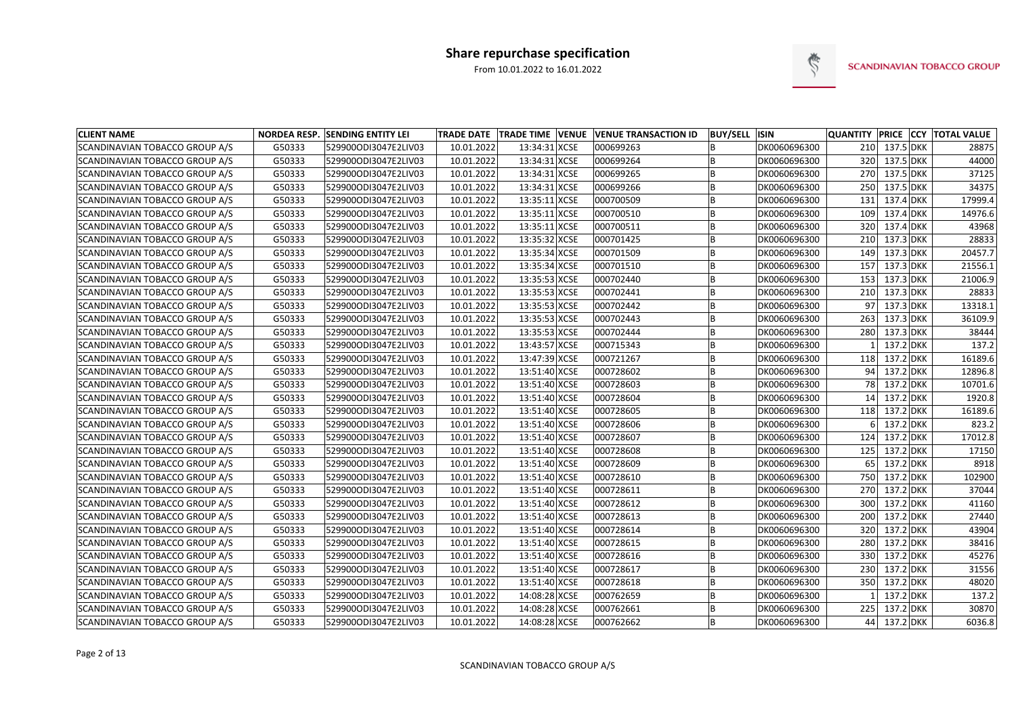

| <b>CLIENT NAME</b>             |        | <b>NORDEA RESP. SENDING ENTITY LEI</b> |            |               | TRADE DATE TRADE TIME VENUE VENUE TRANSACTION ID | <b>BUY/SELL ISIN</b> |              | <b>QUANTITY PRICE CCY</b> |               | <b>TOTAL VALUE</b> |
|--------------------------------|--------|----------------------------------------|------------|---------------|--------------------------------------------------|----------------------|--------------|---------------------------|---------------|--------------------|
| SCANDINAVIAN TOBACCO GROUP A/S | G50333 | 529900ODI3047E2LIV03                   | 10.01.2022 | 13:34:31 XCSE | 000699263                                        |                      | DK0060696300 | 210                       | $137.5$ DKK   | 28875              |
| SCANDINAVIAN TOBACCO GROUP A/S | G50333 | 529900ODI3047E2LIV03                   | 10.01.2022 | 13:34:31 XCSE | 000699264                                        |                      | DK0060696300 | 320                       | 137.5 DKK     | 44000              |
| SCANDINAVIAN TOBACCO GROUP A/S | G50333 | 529900ODI3047E2LIV03                   | 10.01.2022 | 13:34:31 XCSE | 000699265                                        |                      | DK0060696300 | 270                       | 137.5 DKK     | 37125              |
| SCANDINAVIAN TOBACCO GROUP A/S | G50333 | 529900ODI3047E2LIV03                   | 10.01.2022 | 13:34:31 XCSE | 000699266                                        |                      | DK0060696300 | 250                       | 137.5 DKK     | 34375              |
| SCANDINAVIAN TOBACCO GROUP A/S | G50333 | 529900ODI3047E2LIV03                   | 10.01.2022 | 13:35:11 XCSE | 000700509                                        |                      | DK0060696300 | 131                       | 137.4 DKK     | 17999.4            |
| SCANDINAVIAN TOBACCO GROUP A/S | G50333 | 529900ODI3047E2LIV03                   | 10.01.2022 | 13:35:11 XCSE | 000700510                                        |                      | DK0060696300 | 109                       | 137.4 DKK     | 14976.6            |
| SCANDINAVIAN TOBACCO GROUP A/S | G50333 | 529900ODI3047E2LIV03                   | 10.01.2022 | 13:35:11 XCSE | 000700511                                        |                      | DK0060696300 | 320                       | 137.4 DKK     | 43968              |
| SCANDINAVIAN TOBACCO GROUP A/S | G50333 | 529900ODI3047E2LIV03                   | 10.01.2022 | 13:35:32 XCSE | 000701425                                        |                      | DK0060696300 | 210                       | $137.3$ DKK   | 28833              |
| SCANDINAVIAN TOBACCO GROUP A/S | G50333 | 529900ODI3047E2LIV03                   | 10.01.2022 | 13:35:34 XCSE | 000701509                                        |                      | DK0060696300 | 149                       | 137.3 DKK     | 20457.7            |
| SCANDINAVIAN TOBACCO GROUP A/S | G50333 | 529900ODI3047E2LIV03                   | 10.01.2022 | 13:35:34 XCSE | 000701510                                        |                      | DK0060696300 | 157                       | $137.3$ DKK   | 21556.1            |
| SCANDINAVIAN TOBACCO GROUP A/S | G50333 | 529900ODI3047E2LIV03                   | 10.01.2022 | 13:35:53 XCSE | 000702440                                        |                      | DK0060696300 | 153                       | $137.3$ DKK   | 21006.9            |
| SCANDINAVIAN TOBACCO GROUP A/S | G50333 | 529900ODI3047E2LIV03                   | 10.01.2022 | 13:35:53 XCSE | 000702441                                        |                      | DK0060696300 | 210                       | 137.3 DKK     | 28833              |
| SCANDINAVIAN TOBACCO GROUP A/S | G50333 | 529900ODI3047E2LIV03                   | 10.01.2022 | 13:35:53 XCSE | 000702442                                        |                      | DK0060696300 | 97                        | $137.3$ DKK   | 13318.1            |
| SCANDINAVIAN TOBACCO GROUP A/S | G50333 | 529900ODI3047E2LIV03                   | 10.01.2022 | 13:35:53 XCSE | 000702443                                        |                      | DK0060696300 | 263                       | 137.3 DKK     | 36109.9            |
| SCANDINAVIAN TOBACCO GROUP A/S | G50333 | 529900ODI3047E2LIV03                   | 10.01.2022 | 13:35:53 XCSE | 000702444                                        |                      | DK0060696300 | 280                       | $137.3$ DKK   | 38444              |
| SCANDINAVIAN TOBACCO GROUP A/S | G50333 | 529900ODI3047E2LIV03                   | 10.01.2022 | 13:43:57 XCSE | 000715343                                        |                      | DK0060696300 |                           | 137.2 DKK     | 137.2              |
| SCANDINAVIAN TOBACCO GROUP A/S | G50333 | 529900ODI3047E2LIV03                   | 10.01.2022 | 13:47:39 XCSE | 000721267                                        |                      | DK0060696300 | 118                       | 137.2 DKK     | 16189.6            |
| SCANDINAVIAN TOBACCO GROUP A/S | G50333 | 529900ODI3047E2LIV03                   | 10.01.2022 | 13:51:40 XCSE | 000728602                                        |                      | DK0060696300 | 94                        | 137.2 DKK     | 12896.8            |
| SCANDINAVIAN TOBACCO GROUP A/S | G50333 | 529900ODI3047E2LIV03                   | 10.01.2022 | 13:51:40 XCSE | 000728603                                        |                      | DK0060696300 |                           | 78 137.2 DKK  | 10701.6            |
| SCANDINAVIAN TOBACCO GROUP A/S | G50333 | 529900ODI3047E2LIV03                   | 10.01.2022 | 13:51:40 XCSE | 000728604                                        |                      | DK0060696300 | 14                        | $137.2$ DKK   | 1920.8             |
| SCANDINAVIAN TOBACCO GROUP A/S | G50333 | 529900ODI3047E2LIV03                   | 10.01.2022 | 13:51:40 XCSE | 000728605                                        |                      | DK0060696300 | 118                       | 137.2 DKK     | 16189.6            |
| SCANDINAVIAN TOBACCO GROUP A/S | G50333 | 529900ODI3047E2LIV03                   | 10.01.2022 | 13:51:40 XCSE | 000728606                                        |                      | DK0060696300 |                           | 137.2 DKK     | 823.2              |
| SCANDINAVIAN TOBACCO GROUP A/S | G50333 | 529900ODI3047E2LIV03                   | 10.01.2022 | 13:51:40 XCSE | 000728607                                        |                      | DK0060696300 | 124                       | $137.2$ DKK   | 17012.8            |
| SCANDINAVIAN TOBACCO GROUP A/S | G50333 | 529900ODI3047E2LIV03                   | 10.01.2022 | 13:51:40 XCSE | 000728608                                        |                      | DK0060696300 | 125                       | $137.2$ DKK   | 17150              |
| SCANDINAVIAN TOBACCO GROUP A/S | G50333 | 529900ODI3047E2LIV03                   | 10.01.2022 | 13:51:40 XCSE | 000728609                                        |                      | DK0060696300 | 65                        | 137.2 DKK     | 8918               |
| SCANDINAVIAN TOBACCO GROUP A/S | G50333 | 529900ODI3047E2LIV03                   | 10.01.2022 | 13:51:40 XCSE | 000728610                                        |                      | DK0060696300 | 750                       | 137.2 DKK     | 102900             |
| SCANDINAVIAN TOBACCO GROUP A/S | G50333 | 529900ODI3047E2LIV03                   | 10.01.2022 | 13:51:40 XCSE | 000728611                                        |                      | DK0060696300 | 270                       | 137.2 DKK     | 37044              |
| SCANDINAVIAN TOBACCO GROUP A/S | G50333 | 529900ODI3047E2LIV03                   | 10.01.2022 | 13:51:40 XCSE | 000728612                                        |                      | DK0060696300 | 300                       | $137.2$ DKK   | 41160              |
| SCANDINAVIAN TOBACCO GROUP A/S | G50333 | 529900ODI3047E2LIV03                   | 10.01.2022 | 13:51:40 XCSE | 000728613                                        |                      | DK0060696300 | 200                       | $137.2$ DKK   | 27440              |
| SCANDINAVIAN TOBACCO GROUP A/S | G50333 | 529900ODI3047E2LIV03                   | 10.01.2022 | 13:51:40 XCSE | 000728614                                        |                      | DK0060696300 |                           | 320 137.2 DKK | 43904              |
| SCANDINAVIAN TOBACCO GROUP A/S | G50333 | 529900ODI3047E2LIV03                   | 10.01.2022 | 13:51:40 XCSE | 000728615                                        | ΙB                   | DK0060696300 |                           | 280 137.2 DKK | 38416              |
| SCANDINAVIAN TOBACCO GROUP A/S | G50333 | 529900ODI3047E2LIV03                   | 10.01.2022 | 13:51:40 XCSE | 000728616                                        |                      | DK0060696300 |                           | 330 137.2 DKK | 45276              |
| SCANDINAVIAN TOBACCO GROUP A/S | G50333 | 529900ODI3047E2LIV03                   | 10.01.2022 | 13:51:40 XCSE | 000728617                                        | B                    | DK0060696300 |                           | 230 137.2 DKK | 31556              |
| SCANDINAVIAN TOBACCO GROUP A/S | G50333 | 529900ODI3047E2LIV03                   | 10.01.2022 | 13:51:40 XCSE | 000728618                                        | B                    | DK0060696300 |                           | 350 137.2 DKK | 48020              |
| SCANDINAVIAN TOBACCO GROUP A/S | G50333 | 529900ODI3047E2LIV03                   | 10.01.2022 | 14:08:28 XCSE | 000762659                                        |                      | DK0060696300 |                           | $137.2$ DKK   | 137.2              |
| SCANDINAVIAN TOBACCO GROUP A/S | G50333 | 529900ODI3047E2LIV03                   | 10.01.2022 | 14:08:28 XCSE | 000762661                                        | B                    | DK0060696300 |                           | 225 137.2 DKK | 30870              |
| SCANDINAVIAN TOBACCO GROUP A/S | G50333 | 529900ODI3047E2LIV03                   | 10.01.2022 | 14:08:28 XCSE | 000762662                                        | B                    | DK0060696300 |                           | 44 137.2 DKK  | 6036.8             |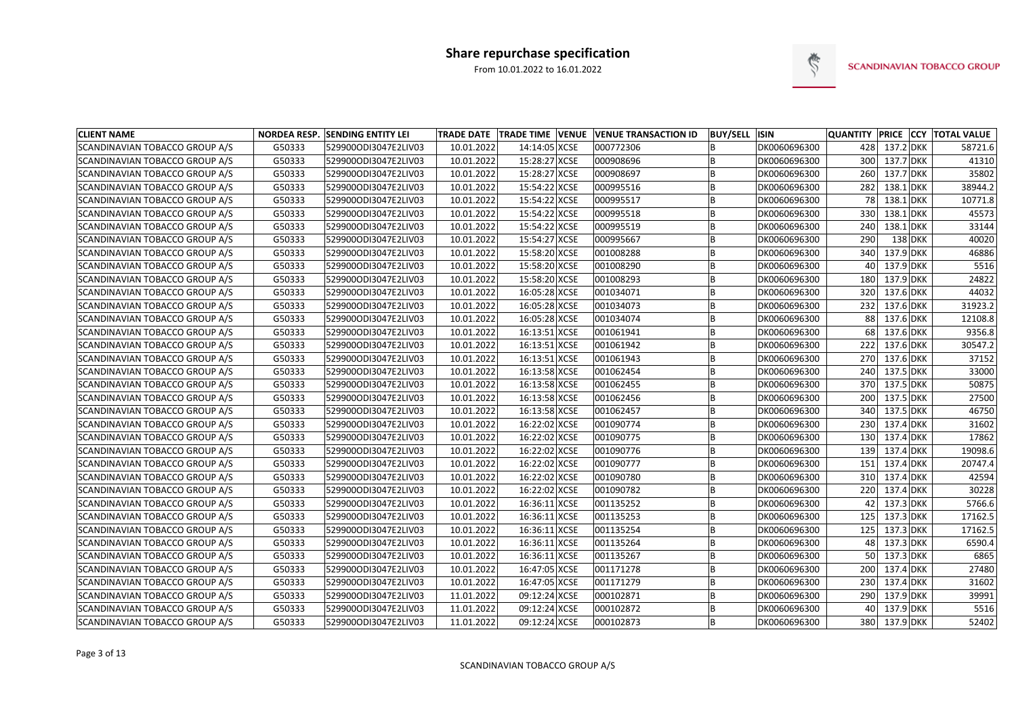

| <b>CLIENT NAME</b>             |        | <b>NORDEA RESP. SENDING ENTITY LEI</b> |            |               | TRADE DATE   TRADE TIME   VENUE   VENUE TRANSACTION ID | <b>BUY/SELL ISIN</b> |              | <b>QUANTITY PRICE CCY</b> |               |           | <b>TOTAL VALUE</b> |
|--------------------------------|--------|----------------------------------------|------------|---------------|--------------------------------------------------------|----------------------|--------------|---------------------------|---------------|-----------|--------------------|
| SCANDINAVIAN TOBACCO GROUP A/S | G50333 | 529900ODI3047E2LIV03                   | 10.01.2022 | 14:14:05 XCSE | 000772306                                              |                      | DK0060696300 | 428                       | $137.2$ DKK   |           | 58721.6            |
| SCANDINAVIAN TOBACCO GROUP A/S | G50333 | 529900ODI3047E2LIV03                   | 10.01.2022 | 15:28:27 XCSE | 000908696                                              |                      | DK0060696300 | 300                       | 137.7 DKK     |           | 41310              |
| SCANDINAVIAN TOBACCO GROUP A/S | G50333 | 529900ODI3047E2LIV03                   | 10.01.2022 | 15:28:27 XCSE | 000908697                                              |                      | DK0060696300 | 260                       | 137.7 DKK     |           | 35802              |
| SCANDINAVIAN TOBACCO GROUP A/S | G50333 | 529900ODI3047E2LIV03                   | 10.01.2022 | 15:54:22 XCSE | 000995516                                              |                      | DK0060696300 | 282                       | $138.1$ DKK   |           | 38944.2            |
| SCANDINAVIAN TOBACCO GROUP A/S | G50333 | 529900ODI3047E2LIV03                   | 10.01.2022 | 15:54:22 XCSE | 000995517                                              |                      | DK0060696300 | 78                        | $138.1$ DKK   |           | 10771.8            |
| SCANDINAVIAN TOBACCO GROUP A/S | G50333 | 529900ODI3047E2LIV03                   | 10.01.2022 | 15:54:22 XCSE | 000995518                                              |                      | DK0060696300 | 330                       | $138.1$ DKK   |           | 45573              |
| SCANDINAVIAN TOBACCO GROUP A/S | G50333 | 529900ODI3047E2LIV03                   | 10.01.2022 | 15:54:22 XCSE | 000995519                                              |                      | DK0060696300 | 240                       | $138.1$ DKK   |           | 33144              |
| SCANDINAVIAN TOBACCO GROUP A/S | G50333 | 529900ODI3047E2LIV03                   | 10.01.2022 | 15:54:27 XCSE | 000995667                                              |                      | DK0060696300 | 290                       |               | $138$ DKK | 40020              |
| SCANDINAVIAN TOBACCO GROUP A/S | G50333 | 529900ODI3047E2LIV03                   | 10.01.2022 | 15:58:20 XCSE | 001008288                                              |                      | DK0060696300 | 340                       | $137.9$ DKK   |           | 46886              |
| SCANDINAVIAN TOBACCO GROUP A/S | G50333 | 529900ODI3047E2LIV03                   | 10.01.2022 | 15:58:20 XCSE | 001008290                                              |                      | DK0060696300 | 40                        | 137.9 DKK     |           | 5516               |
| SCANDINAVIAN TOBACCO GROUP A/S | G50333 | 529900ODI3047E2LIV03                   | 10.01.2022 | 15:58:20 XCSE | 001008293                                              |                      | DK0060696300 | 180                       | $137.9$ DKK   |           | 24822              |
| SCANDINAVIAN TOBACCO GROUP A/S | G50333 | 529900ODI3047E2LIV03                   | 10.01.2022 | 16:05:28 XCSE | 001034071                                              |                      | DK0060696300 | 320                       | 137.6 DKK     |           | 44032              |
| SCANDINAVIAN TOBACCO GROUP A/S | G50333 | 529900ODI3047E2LIV03                   | 10.01.2022 | 16:05:28 XCSE | 001034073                                              |                      | DK0060696300 | 232                       | 137.6 DKK     |           | 31923.2            |
| SCANDINAVIAN TOBACCO GROUP A/S | G50333 | 529900ODI3047E2LIV03                   | 10.01.2022 | 16:05:28 XCSE | 001034074                                              |                      | DK0060696300 | 88                        | 137.6 DKK     |           | 12108.8            |
| SCANDINAVIAN TOBACCO GROUP A/S | G50333 | 529900ODI3047E2LIV03                   | 10.01.2022 | 16:13:51 XCSE | 001061941                                              |                      | DK0060696300 | 68                        | $137.6$ DKK   |           | 9356.8             |
| SCANDINAVIAN TOBACCO GROUP A/S | G50333 | 529900ODI3047E2LIV03                   | 10.01.2022 | 16:13:51 XCSE | 001061942                                              |                      | DK0060696300 | 222                       | 137.6 DKK     |           | 30547.2            |
| SCANDINAVIAN TOBACCO GROUP A/S | G50333 | 529900ODI3047E2LIV03                   | 10.01.2022 | 16:13:51 XCSE | 001061943                                              |                      | DK0060696300 | 270                       | 137.6 DKK     |           | 37152              |
| SCANDINAVIAN TOBACCO GROUP A/S | G50333 | 529900ODI3047E2LIV03                   | 10.01.2022 | 16:13:58 XCSE | 001062454                                              |                      | DK0060696300 | 240                       | 137.5 DKK     |           | 33000              |
| SCANDINAVIAN TOBACCO GROUP A/S | G50333 | 529900ODI3047E2LIV03                   | 10.01.2022 | 16:13:58 XCSE | 001062455                                              |                      | DK0060696300 | 370                       | 137.5 DKK     |           | 50875              |
| SCANDINAVIAN TOBACCO GROUP A/S | G50333 | 529900ODI3047E2LIV03                   | 10.01.2022 | 16:13:58 XCSE | 001062456                                              |                      | DK0060696300 | 200                       | 137.5 DKK     |           | 27500              |
| SCANDINAVIAN TOBACCO GROUP A/S | G50333 | 529900ODI3047E2LIV03                   | 10.01.2022 | 16:13:58 XCSE | 001062457                                              |                      | DK0060696300 | 340                       | 137.5 DKK     |           | 46750              |
| SCANDINAVIAN TOBACCO GROUP A/S | G50333 | 529900ODI3047E2LIV03                   | 10.01.2022 | 16:22:02 XCSE | 001090774                                              |                      | DK0060696300 | 230                       | $137.4$ DKK   |           | 31602              |
| SCANDINAVIAN TOBACCO GROUP A/S | G50333 | 529900ODI3047E2LIV03                   | 10.01.2022 | 16:22:02 XCSE | 001090775                                              |                      | DK0060696300 | 130                       | 137.4 DKK     |           | 17862              |
| SCANDINAVIAN TOBACCO GROUP A/S | G50333 | 529900ODI3047E2LIV03                   | 10.01.2022 | 16:22:02 XCSE | 001090776                                              |                      | DK0060696300 | 139                       | 137.4 DKK     |           | 19098.6            |
| SCANDINAVIAN TOBACCO GROUP A/S | G50333 | 529900ODI3047E2LIV03                   | 10.01.2022 | 16:22:02 XCSE | 001090777                                              |                      | DK0060696300 | 151                       | 137.4 DKK     |           | 20747.4            |
| SCANDINAVIAN TOBACCO GROUP A/S | G50333 | 529900ODI3047E2LIV03                   | 10.01.2022 | 16:22:02 XCSE | 001090780                                              |                      | DK0060696300 | 310                       | 137.4 DKK     |           | 42594              |
| SCANDINAVIAN TOBACCO GROUP A/S | G50333 | 529900ODI3047E2LIV03                   | 10.01.2022 | 16:22:02 XCSE | 001090782                                              |                      | DK0060696300 | 220                       | 137.4 DKK     |           | 30228              |
| SCANDINAVIAN TOBACCO GROUP A/S | G50333 | 529900ODI3047E2LIV03                   | 10.01.2022 | 16:36:11 XCSE | 001135252                                              |                      | DK0060696300 | 42                        | $137.3$ DKK   |           | 5766.6             |
| SCANDINAVIAN TOBACCO GROUP A/S | G50333 | 529900ODI3047E2LIV03                   | 10.01.2022 | 16:36:11 XCSE | 001135253                                              |                      | DK0060696300 | 125                       | $137.3$ DKK   |           | 17162.5            |
| SCANDINAVIAN TOBACCO GROUP A/S | G50333 | 529900ODI3047E2LIV03                   | 10.01.2022 | 16:36:11 XCSE | 001135254                                              |                      | DK0060696300 |                           | 125 137.3 DKK |           | 17162.5            |
| SCANDINAVIAN TOBACCO GROUP A/S | G50333 | 529900ODI3047E2LIV03                   | 10.01.2022 | 16:36:11 XCSE | 001135264                                              | ΙB                   | DK0060696300 |                           | 48 137.3 DKK  |           | 6590.4             |
| SCANDINAVIAN TOBACCO GROUP A/S | G50333 | 529900ODI3047E2LIV03                   | 10.01.2022 | 16:36:11 XCSE | 001135267                                              |                      | DK0060696300 |                           | 50 137.3 DKK  |           | 6865               |
| SCANDINAVIAN TOBACCO GROUP A/S | G50333 | 529900ODI3047E2LIV03                   | 10.01.2022 | 16:47:05 XCSE | 001171278                                              | B                    | DK0060696300 |                           | 200 137.4 DKK |           | 27480              |
| SCANDINAVIAN TOBACCO GROUP A/S | G50333 | 529900ODI3047E2LIV03                   | 10.01.2022 | 16:47:05 XCSE | 001171279                                              | B                    | DK0060696300 |                           | 230 137.4 DKK |           | 31602              |
| SCANDINAVIAN TOBACCO GROUP A/S | G50333 | 529900ODI3047E2LIV03                   | 11.01.2022 | 09:12:24 XCSE | 000102871                                              |                      | DK0060696300 |                           | 290 137.9 DKK |           | 39991              |
| SCANDINAVIAN TOBACCO GROUP A/S | G50333 | 529900ODI3047E2LIV03                   | 11.01.2022 | 09:12:24 XCSE | 000102872                                              | B                    | DK0060696300 |                           | 40 137.9 DKK  |           | 5516               |
| SCANDINAVIAN TOBACCO GROUP A/S | G50333 | 529900ODI3047E2LIV03                   | 11.01.2022 | 09:12:24 XCSE | 000102873                                              | B                    | DK0060696300 |                           | 380 137.9 DKK |           | 52402              |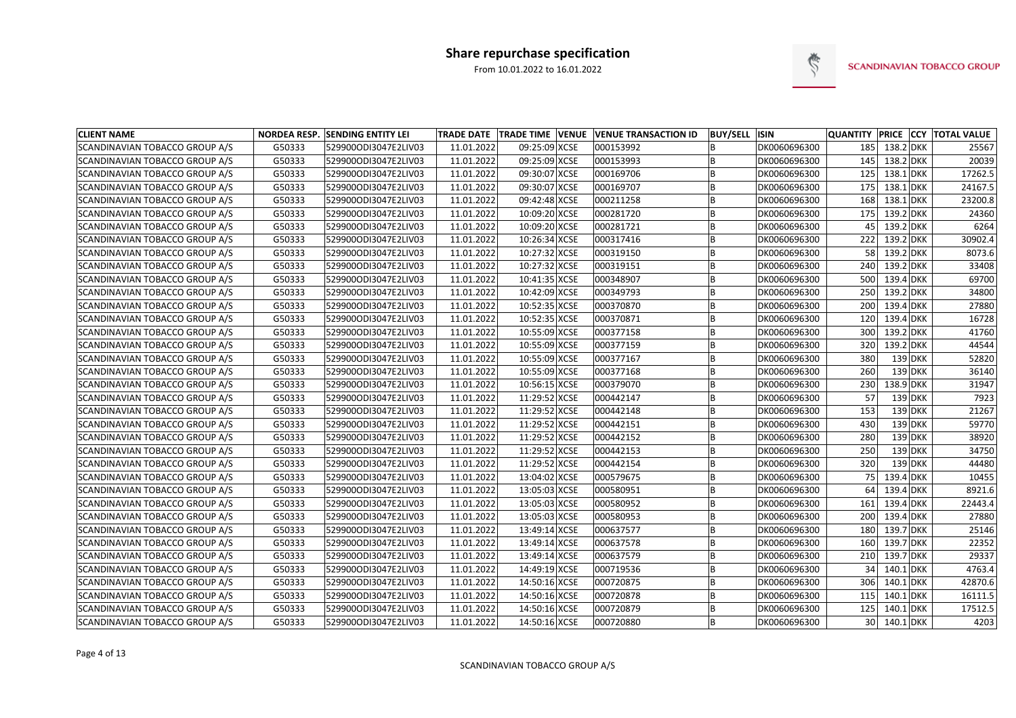

| <b>CLIENT NAME</b>             |        | NORDEA RESP. SENDING ENTITY LEI |            |               | TRADE DATE   TRADE TIME   VENUE   VENUE TRANSACTION ID | <b>BUY/SELL ISIN</b> |              |     |             |           | <b>QUANTITY PRICE CCY TOTAL VALUE</b> |
|--------------------------------|--------|---------------------------------|------------|---------------|--------------------------------------------------------|----------------------|--------------|-----|-------------|-----------|---------------------------------------|
| SCANDINAVIAN TOBACCO GROUP A/S | G50333 | 529900ODI3047E2LIV03            | 11.01.2022 | 09:25:09 XCSE | 000153992                                              |                      | DK0060696300 | 185 | $138.2$ DKK |           | 25567                                 |
| SCANDINAVIAN TOBACCO GROUP A/S | G50333 | 529900ODI3047E2LIV03            | 11.01.2022 | 09:25:09 XCSE | 000153993                                              |                      | DK0060696300 | 145 | $138.2$ DKK |           | 20039                                 |
| SCANDINAVIAN TOBACCO GROUP A/S | G50333 | 529900ODI3047E2LIV03            | 11.01.2022 | 09:30:07 XCSE | 000169706                                              | B                    | DK0060696300 | 125 | $138.1$ DKK |           | 17262.5                               |
| SCANDINAVIAN TOBACCO GROUP A/S | G50333 | 529900ODI3047E2LIV03            | 11.01.2022 | 09:30:07 XCSE | 000169707                                              | ΙB                   | DK0060696300 | 175 | $138.1$ DKK |           | 24167.5                               |
| SCANDINAVIAN TOBACCO GROUP A/S | G50333 | 529900ODI3047E2LIV03            | 11.01.2022 | 09:42:48 XCSE | 000211258                                              | ΙB                   | DK0060696300 | 168 | $138.1$ DKK |           | 23200.8                               |
| SCANDINAVIAN TOBACCO GROUP A/S | G50333 | 529900ODI3047E2LIV03            | 11.01.2022 | 10:09:20 XCSE | 000281720                                              | B                    | DK0060696300 | 175 | 139.2 DKK   |           | 24360                                 |
| SCANDINAVIAN TOBACCO GROUP A/S | G50333 | 529900ODI3047E2LIV03            | 11.01.2022 | 10:09:20 XCSE | 000281721                                              | ΙB                   | DK0060696300 | 45  | $139.2$ DKK |           | 6264                                  |
| SCANDINAVIAN TOBACCO GROUP A/S | G50333 | 529900ODI3047E2LIV03            | 11.01.2022 | 10:26:34 XCSE | 000317416                                              | ΙB                   | DK0060696300 | 222 | $139.2$ DKK |           | 30902.4                               |
| SCANDINAVIAN TOBACCO GROUP A/S | G50333 | 529900ODI3047E2LIV03            | 11.01.2022 | 10:27:32 XCSE | 000319150                                              |                      | DK0060696300 | 58  | 139.2 DKK   |           | 8073.6                                |
| SCANDINAVIAN TOBACCO GROUP A/S | G50333 | 529900ODI3047E2LIV03            | 11.01.2022 | 10:27:32 XCSE | 000319151                                              | ΙB                   | DK0060696300 | 240 | $139.2$ DKK |           | 33408                                 |
| SCANDINAVIAN TOBACCO GROUP A/S | G50333 | 529900ODI3047E2LIV03            | 11.01.2022 | 10:41:35 XCSE | 000348907                                              | ΙB                   | DK0060696300 | 500 | 139.4 DKK   |           | 69700                                 |
| SCANDINAVIAN TOBACCO GROUP A/S | G50333 | 529900ODI3047E2LIV03            | 11.01.2022 | 10:42:09 XCSE | 000349793                                              |                      | DK0060696300 | 250 | $139.2$ DKK |           | 34800                                 |
| SCANDINAVIAN TOBACCO GROUP A/S | G50333 | 529900ODI3047E2LIV03            | 11.01.2022 | 10:52:35 XCSE | 000370870                                              | B                    | DK0060696300 | 200 | 139.4 DKK   |           | 27880                                 |
| SCANDINAVIAN TOBACCO GROUP A/S | G50333 | 529900ODI3047E2LIV03            | 11.01.2022 | 10:52:35 XCSE | 000370871                                              | ΙB                   | DK0060696300 | 120 | 139.4 DKK   |           | 16728                                 |
| SCANDINAVIAN TOBACCO GROUP A/S | G50333 | 529900ODI3047E2LIV03            | 11.01.2022 | 10:55:09 XCSE | 000377158                                              | ΙB                   | DK0060696300 | 300 | 139.2 DKK   |           | 41760                                 |
| SCANDINAVIAN TOBACCO GROUP A/S | G50333 | 529900ODI3047E2LIV03            | 11.01.2022 | 10:55:09 XCSE | 000377159                                              | ΙB                   | DK0060696300 | 320 | 139.2 DKK   |           | 44544                                 |
| SCANDINAVIAN TOBACCO GROUP A/S | G50333 | 529900ODI3047E2LIV03            | 11.01.2022 | 10:55:09 XCSE | 000377167                                              | B                    | DK0060696300 | 380 |             | 139 DKK   | 52820                                 |
| SCANDINAVIAN TOBACCO GROUP A/S | G50333 | 529900ODI3047E2LIV03            | 11.01.2022 | 10:55:09 XCSE | 000377168                                              | ΙB                   | DK0060696300 | 260 |             | 139 DKK   | 36140                                 |
| SCANDINAVIAN TOBACCO GROUP A/S | G50333 | 529900ODI3047E2LIV03            | 11.01.2022 | 10:56:15 XCSE | 000379070                                              | B                    | DK0060696300 | 230 | 138.9 DKK   |           | 31947                                 |
| SCANDINAVIAN TOBACCO GROUP A/S | G50333 | 529900ODI3047E2LIV03            | 11.01.2022 | 11:29:52 XCSE | 000442147                                              | ΙB                   | DK0060696300 | 57  |             | 139 DKK   | 7923                                  |
| SCANDINAVIAN TOBACCO GROUP A/S | G50333 | 529900ODI3047E2LIV03            | 11.01.2022 | 11:29:52 XCSE | 000442148                                              | ΙB                   | DK0060696300 | 153 |             | 139 DKK   | 21267                                 |
| SCANDINAVIAN TOBACCO GROUP A/S | G50333 | 529900ODI3047E2LIV03            | 11.01.2022 | 11:29:52 XCSE | 000442151                                              | ΙB                   | DK0060696300 | 430 |             | 139 DKK   | 59770                                 |
| SCANDINAVIAN TOBACCO GROUP A/S | G50333 | 529900ODI3047E2LIV03            | 11.01.2022 | 11:29:52 XCSE | 000442152                                              |                      | DK0060696300 | 280 |             | $139$ DKK | 38920                                 |
| SCANDINAVIAN TOBACCO GROUP A/S | G50333 | 529900ODI3047E2LIV03            | 11.01.2022 | 11:29:52 XCSE | 000442153                                              | B                    | DK0060696300 | 250 |             | 139 DKK   | 34750                                 |
| SCANDINAVIAN TOBACCO GROUP A/S | G50333 | 529900ODI3047E2LIV03            | 11.01.2022 | 11:29:52 XCSE | 000442154                                              | ΙB                   | DK0060696300 | 320 |             | 139 DKK   | 44480                                 |
| SCANDINAVIAN TOBACCO GROUP A/S | G50333 | 529900ODI3047E2LIV03            | 11.01.2022 | 13:04:02 XCSE | 000579675                                              | ΙB                   | DK0060696300 | 75  | 139.4 DKK   |           | 10455                                 |
| SCANDINAVIAN TOBACCO GROUP A/S | G50333 | 529900ODI3047E2LIV03            | 11.01.2022 | 13:05:03 XCSE | 000580951                                              | ΙB                   | DK0060696300 | 64  | 139.4 DKK   |           | 8921.6                                |
| SCANDINAVIAN TOBACCO GROUP A/S | G50333 | 529900ODI3047E2LIV03            | 11.01.2022 | 13:05:03 XCSE | 000580952                                              | ΙB                   | DK0060696300 | 161 | $139.4$ DKK |           | 22443.4                               |
| SCANDINAVIAN TOBACCO GROUP A/S | G50333 | 529900ODI3047E2LIV03            | 11.01.2022 | 13:05:03 XCSE | 000580953                                              | B                    | DK0060696300 | 200 | 139.4 DKK   |           | 27880                                 |
| SCANDINAVIAN TOBACCO GROUP A/S | G50333 | 529900ODI3047E2LIV03            | 11.01.2022 | 13:49:14 XCSE | 000637577                                              |                      | DK0060696300 | 180 | 139.7 DKK   |           | 25146                                 |
| SCANDINAVIAN TOBACCO GROUP A/S | G50333 | 529900ODI3047E2LIV03            | 11.01.2022 | 13:49:14 XCSE | 000637578                                              | B                    | DK0060696300 | 160 | 139.7 DKK   |           | 22352                                 |
| SCANDINAVIAN TOBACCO GROUP A/S | G50333 | 529900ODI3047E2LIV03            | 11.01.2022 | 13:49:14 XCSE | 000637579                                              | B                    | DK0060696300 | 210 | 139.7 DKK   |           | 29337                                 |
| SCANDINAVIAN TOBACCO GROUP A/S | G50333 | 529900ODI3047E2LIV03            | 11.01.2022 | 14:49:19 XCSE | 000719536                                              | B                    | DK0060696300 | 34  | $140.1$ DKK |           | 4763.4                                |
| SCANDINAVIAN TOBACCO GROUP A/S | G50333 | 529900ODI3047E2LIV03            | 11.01.2022 | 14:50:16 XCSE | 000720875                                              | B                    | DK0060696300 | 306 | $140.1$ DKK |           | 42870.6                               |
| SCANDINAVIAN TOBACCO GROUP A/S | G50333 | 529900ODI3047E2LIV03            | 11.01.2022 | 14:50:16 XCSE | 000720878                                              | B                    | DK0060696300 | 115 | $140.1$ DKK |           | 16111.5                               |
| SCANDINAVIAN TOBACCO GROUP A/S | G50333 | 529900ODI3047E2LIV03            | 11.01.2022 | 14:50:16 XCSE | 000720879                                              | B                    | DK0060696300 | 125 | $140.1$ DKK |           | 17512.5                               |
| SCANDINAVIAN TOBACCO GROUP A/S | G50333 | 529900ODI3047E2LIV03            | 11.01.2022 | 14:50:16 XCSE | 000720880                                              | B                    | DK0060696300 | 30  | 140.1 DKK   |           | 4203                                  |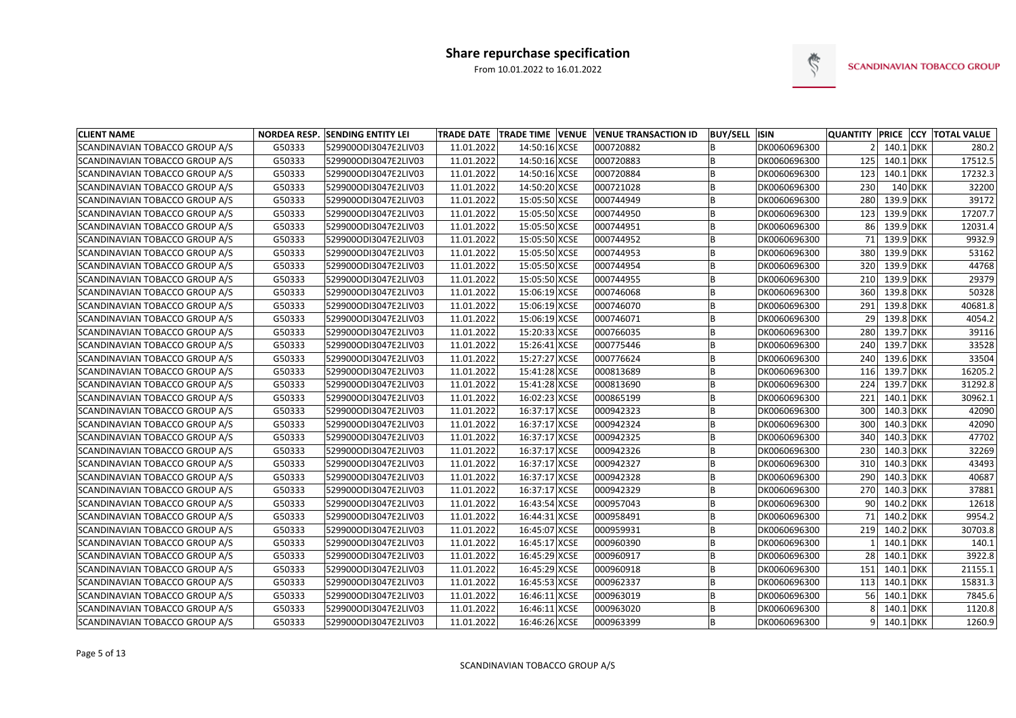

| <b>CLIENT NAME</b>             |        | NORDEA RESP. SENDING ENTITY LEI |            |               | TRADE DATE TRADE TIME VENUE VENUE TRANSACTION ID | <b>BUY/SELL ISIN</b> |              |     |               | QUANTITY PRICE CCY TOTAL VALUE |
|--------------------------------|--------|---------------------------------|------------|---------------|--------------------------------------------------|----------------------|--------------|-----|---------------|--------------------------------|
| SCANDINAVIAN TOBACCO GROUP A/S | G50333 | 529900ODI3047E2LIV03            | 11.01.2022 | 14:50:16 XCSE | 000720882                                        |                      | DK0060696300 |     | 140.1 DKK     | 280.2                          |
| SCANDINAVIAN TOBACCO GROUP A/S | G50333 | 529900ODI3047E2LIV03            | 11.01.2022 | 14:50:16 XCSE | 000720883                                        |                      | DK0060696300 | 125 | $140.1$ DKK   | 17512.5                        |
| SCANDINAVIAN TOBACCO GROUP A/S | G50333 | 529900ODI3047E2LIV03            | 11.01.2022 | 14:50:16 XCSE | 000720884                                        |                      | DK0060696300 | 123 | $140.1$ DKK   | 17232.3                        |
| SCANDINAVIAN TOBACCO GROUP A/S | G50333 | 529900ODI3047E2LIV03            | 11.01.2022 | 14:50:20 XCSE | 000721028                                        |                      | DK0060696300 | 230 | 140 DKK       | 32200                          |
| SCANDINAVIAN TOBACCO GROUP A/S | G50333 | 529900ODI3047E2LIV03            | 11.01.2022 | 15:05:50 XCSE | 000744949                                        |                      | DK0060696300 | 280 | 139.9 DKK     | 39172                          |
| SCANDINAVIAN TOBACCO GROUP A/S | G50333 | 529900ODI3047E2LIV03            | 11.01.2022 | 15:05:50 XCSE | 000744950                                        |                      | DK0060696300 | 123 | 139.9 DKK     | 17207.7                        |
| SCANDINAVIAN TOBACCO GROUP A/S | G50333 | 529900ODI3047E2LIV03            | 11.01.2022 | 15:05:50 XCSE | 000744951                                        |                      | DK0060696300 | 861 | 139.9 DKK     | 12031.4                        |
| SCANDINAVIAN TOBACCO GROUP A/S | G50333 | 529900ODI3047E2LIV03            | 11.01.2022 | 15:05:50 XCSE | 000744952                                        |                      | DK0060696300 | 71  | 139.9 DKK     | 9932.9                         |
| SCANDINAVIAN TOBACCO GROUP A/S | G50333 | 529900ODI3047E2LIV03            | 11.01.2022 | 15:05:50 XCSE | 000744953                                        |                      | DK0060696300 | 380 | 139.9 DKK     | 53162                          |
| SCANDINAVIAN TOBACCO GROUP A/S | G50333 | 529900ODI3047E2LIV03            | 11.01.2022 | 15:05:50 XCSE | 000744954                                        |                      | DK0060696300 | 320 | 139.9 DKK     | 44768                          |
| SCANDINAVIAN TOBACCO GROUP A/S | G50333 | 529900ODI3047E2LIV03            | 11.01.2022 | 15:05:50 XCSE | 000744955                                        |                      | DK0060696300 | 210 | 139.9 DKK     | 29379                          |
| SCANDINAVIAN TOBACCO GROUP A/S | G50333 | 529900ODI3047E2LIV03            | 11.01.2022 | 15:06:19 XCSE | 000746068                                        |                      | DK0060696300 | 360 | 139.8 DKK     | 50328                          |
| SCANDINAVIAN TOBACCO GROUP A/S | G50333 | 529900ODI3047E2LIV03            | 11.01.2022 | 15:06:19 XCSE | 000746070                                        |                      | DK0060696300 | 291 | 139.8 DKK     | 40681.8                        |
| SCANDINAVIAN TOBACCO GROUP A/S | G50333 | 529900ODI3047E2LIV03            | 11.01.2022 | 15:06:19 XCSE | 000746071                                        |                      | DK0060696300 | 29  | 139.8 DKK     | 4054.2                         |
| SCANDINAVIAN TOBACCO GROUP A/S | G50333 | 529900ODI3047E2LIV03            | 11.01.2022 | 15:20:33 XCSE | 000766035                                        |                      | DK0060696300 | 280 | $139.7$ DKK   | 39116                          |
| SCANDINAVIAN TOBACCO GROUP A/S | G50333 | 529900ODI3047E2LIV03            | 11.01.2022 | 15:26:41 XCSE | 000775446                                        |                      | DK0060696300 | 240 | 139.7 DKK     | 33528                          |
| SCANDINAVIAN TOBACCO GROUP A/S | G50333 | 529900ODI3047E2LIV03            | 11.01.2022 | 15:27:27 XCSE | 000776624                                        |                      | DK0060696300 | 240 | 139.6 DKK     | 33504                          |
| SCANDINAVIAN TOBACCO GROUP A/S | G50333 | 529900ODI3047E2LIV03            | 11.01.2022 | 15:41:28 XCSE | 000813689                                        |                      | DK0060696300 | 116 | 139.7 DKK     | 16205.2                        |
| SCANDINAVIAN TOBACCO GROUP A/S | G50333 | 529900ODI3047E2LIV03            | 11.01.2022 | 15:41:28 XCSE | 000813690                                        |                      | DK0060696300 | 224 | 139.7 DKK     | 31292.8                        |
| SCANDINAVIAN TOBACCO GROUP A/S | G50333 | 529900ODI3047E2LIV03            | 11.01.2022 | 16:02:23 XCSE | 000865199                                        |                      | DK0060696300 | 221 | $140.1$ DKK   | 30962.1                        |
| SCANDINAVIAN TOBACCO GROUP A/S | G50333 | 529900ODI3047E2LIV03            | 11.01.2022 | 16:37:17 XCSE | 000942323                                        |                      | DK0060696300 | 300 | $140.3$ DKK   | 42090                          |
| SCANDINAVIAN TOBACCO GROUP A/S | G50333 | 529900ODI3047E2LIV03            | 11.01.2022 | 16:37:17 XCSE | 000942324                                        |                      | DK0060696300 | 300 | $140.3$ DKK   | 42090                          |
| SCANDINAVIAN TOBACCO GROUP A/S | G50333 | 529900ODI3047E2LIV03            | 11.01.2022 | 16:37:17 XCSE | 000942325                                        |                      | DK0060696300 | 340 | 140.3 DKK     | 47702                          |
| SCANDINAVIAN TOBACCO GROUP A/S | G50333 | 529900ODI3047E2LIV03            | 11.01.2022 | 16:37:17 XCSE | 000942326                                        |                      | DK0060696300 | 230 | $140.3$ DKK   | 32269                          |
| SCANDINAVIAN TOBACCO GROUP A/S | G50333 | 529900ODI3047E2LIV03            | 11.01.2022 | 16:37:17 XCSE | 000942327                                        |                      | DK0060696300 | 310 | 140.3 DKK     | 43493                          |
| SCANDINAVIAN TOBACCO GROUP A/S | G50333 | 529900ODI3047E2LIV03            | 11.01.2022 | 16:37:17 XCSE | 000942328                                        |                      | DK0060696300 | 290 | 140.3 DKK     | 40687                          |
| SCANDINAVIAN TOBACCO GROUP A/S | G50333 | 529900ODI3047E2LIV03            | 11.01.2022 | 16:37:17 XCSE | 000942329                                        |                      | DK0060696300 | 270 | 140.3 DKK     | 37881                          |
| SCANDINAVIAN TOBACCO GROUP A/S | G50333 | 529900ODI3047E2LIV03            | 11.01.2022 | 16:43:54 XCSE | 000957043                                        |                      | DK0060696300 | 90  | 140.2 DKK     | 12618                          |
| SCANDINAVIAN TOBACCO GROUP A/S | G50333 | 529900ODI3047E2LIV03            | 11.01.2022 | 16:44:31 XCSE | 000958491                                        |                      | DK0060696300 | 71  | $140.2$ DKK   | 9954.2                         |
| SCANDINAVIAN TOBACCO GROUP A/S | G50333 | 529900ODI3047E2LIV03            | 11.01.2022 | 16:45:07 XCSE | 000959931                                        |                      | DK0060696300 |     | 219 140.2 DKK | 30703.8                        |
| SCANDINAVIAN TOBACCO GROUP A/S | G50333 | 529900ODI3047E2LIV03            | 11.01.2022 | 16:45:17 XCSE | 000960390                                        | B                    | DK0060696300 |     | $140.1$ DKK   | 140.1                          |
| SCANDINAVIAN TOBACCO GROUP A/S | G50333 | 529900ODI3047E2LIV03            | 11.01.2022 | 16:45:29 XCSE | 000960917                                        |                      | DK0060696300 | 28  | 140.1 DKK     | 3922.8                         |
| SCANDINAVIAN TOBACCO GROUP A/S | G50333 | 529900ODI3047E2LIV03            | 11.01.2022 | 16:45:29 XCSE | 000960918                                        | B                    | DK0060696300 | 151 | 140.1 DKK     | 21155.1                        |
| SCANDINAVIAN TOBACCO GROUP A/S | G50333 | 529900ODI3047E2LIV03            | 11.01.2022 | 16:45:53 XCSE | 000962337                                        |                      | DK0060696300 | 113 | 140.1 DKK     | 15831.3                        |
| SCANDINAVIAN TOBACCO GROUP A/S | G50333 | 529900ODI3047E2LIV03            | 11.01.2022 | 16:46:11 XCSE | 000963019                                        |                      | DK0060696300 | 56  | 140.1 DKK     | 7845.6                         |
| SCANDINAVIAN TOBACCO GROUP A/S | G50333 | 529900ODI3047E2LIV03            | 11.01.2022 | 16:46:11 XCSE | 000963020                                        |                      | DK0060696300 | 81  | $140.1$ DKK   | 1120.8                         |
| SCANDINAVIAN TOBACCO GROUP A/S | G50333 | 529900ODI3047E2LIV03            | 11.01.2022 | 16:46:26 XCSE | 000963399                                        | B                    | DK0060696300 |     | $9$ 140.1 DKK | 1260.9                         |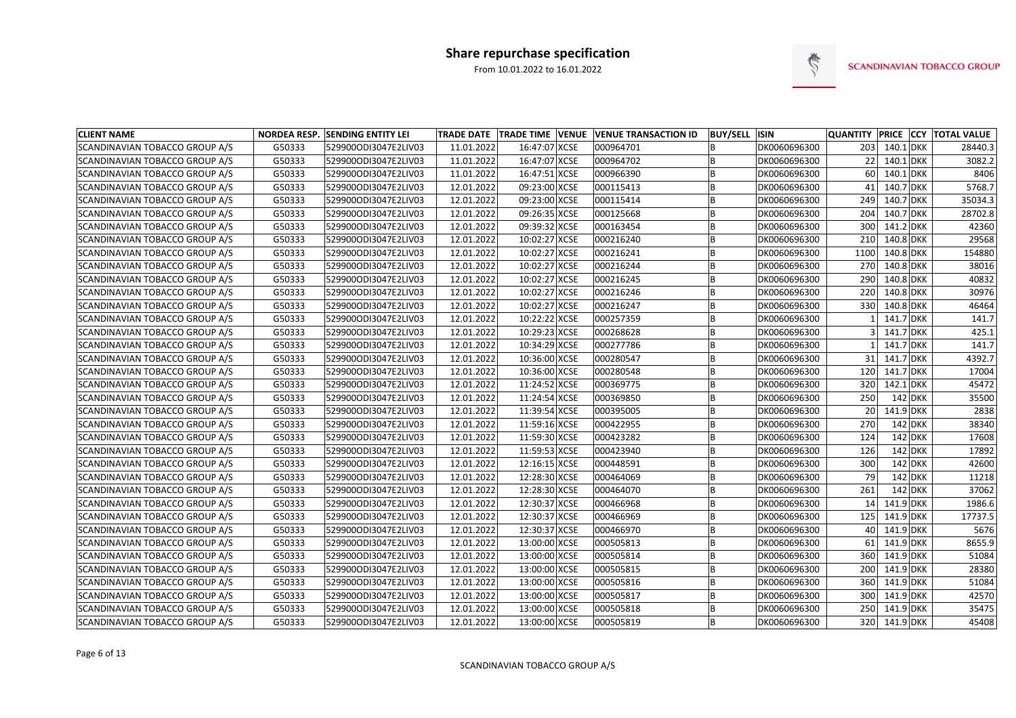

| <b>CLIENT NAME</b>             |        | <b>NORDEA RESP. SENDING ENTITY LEI</b> |            |               | TRADE DATE   TRADE TIME   VENUE   VENUE TRANSACTION ID | <b>BUY/SELL ISIN</b> |              | QUANTITY PRICE CCY |               |           | <b>TOTAL VALUE</b> |
|--------------------------------|--------|----------------------------------------|------------|---------------|--------------------------------------------------------|----------------------|--------------|--------------------|---------------|-----------|--------------------|
| SCANDINAVIAN TOBACCO GROUP A/S | G50333 | 529900ODI3047E2LIV03                   | 11.01.2022 | 16:47:07 XCSE | 000964701                                              |                      | DK0060696300 | 203                | $140.1$ DKK   |           | 28440.3            |
| SCANDINAVIAN TOBACCO GROUP A/S | G50333 | 529900ODI3047E2LIV03                   | 11.01.2022 | 16:47:07 XCSE | 000964702                                              |                      | DK0060696300 | 22                 | $140.1$ DKK   |           | 3082.2             |
| SCANDINAVIAN TOBACCO GROUP A/S | G50333 | 529900ODI3047E2LIV03                   | 11.01.2022 | 16:47:51 XCSE | 000966390                                              |                      | DK0060696300 | 60                 | $140.1$ DKK   |           | 8406               |
| SCANDINAVIAN TOBACCO GROUP A/S | G50333 | 529900ODI3047E2LIV03                   | 12.01.2022 | 09:23:00 XCSE | 000115413                                              | B                    | DK0060696300 | 41                 | 140.7 DKK     |           | 5768.7             |
| SCANDINAVIAN TOBACCO GROUP A/S | G50333 | 529900ODI3047E2LIV03                   | 12.01.2022 | 09:23:00 XCSE | 000115414                                              | B                    | DK0060696300 | 249                | 140.7 DKK     |           | 35034.3            |
| SCANDINAVIAN TOBACCO GROUP A/S | G50333 | 529900ODI3047E2LIV03                   | 12.01.2022 | 09:26:35 XCSE | 000125668                                              |                      | DK0060696300 | 204                | 140.7 DKK     |           | 28702.8            |
| SCANDINAVIAN TOBACCO GROUP A/S | G50333 | 529900ODI3047E2LIV03                   | 12.01.2022 | 09:39:32 XCSE | 000163454                                              |                      | DK0060696300 | 300                | $141.2$ DKK   |           | 42360              |
| SCANDINAVIAN TOBACCO GROUP A/S | G50333 | 529900ODI3047E2LIV03                   | 12.01.2022 | 10:02:27 XCSE | 000216240                                              |                      | DK0060696300 | 210                | $140.8$ DKK   |           | 29568              |
| SCANDINAVIAN TOBACCO GROUP A/S | G50333 | 529900ODI3047E2LIV03                   | 12.01.2022 | 10:02:27 XCSE | 000216241                                              |                      | DK0060696300 | 1100               | $140.8$ DKK   |           | 154880             |
| SCANDINAVIAN TOBACCO GROUP A/S | G50333 | 529900ODI3047E2LIV03                   | 12.01.2022 | 10:02:27 XCSE | 000216244                                              |                      | DK0060696300 | 270                | $140.8$ DKK   |           | 38016              |
| SCANDINAVIAN TOBACCO GROUP A/S | G50333 | 529900ODI3047E2LIV03                   | 12.01.2022 | 10:02:27 XCSE | 000216245                                              |                      | DK0060696300 | 290                | $140.8$ DKK   |           | 40832              |
| SCANDINAVIAN TOBACCO GROUP A/S | G50333 | 529900ODI3047E2LIV03                   | 12.01.2022 | 10:02:27 XCSE | 000216246                                              |                      | DK0060696300 | 220                | 140.8 DKK     |           | 30976              |
| SCANDINAVIAN TOBACCO GROUP A/S | G50333 | 529900ODI3047E2LIV03                   | 12.01.2022 | 10:02:27 XCSE | 000216247                                              |                      | DK0060696300 | 330                | 140.8 DKK     |           | 46464              |
| SCANDINAVIAN TOBACCO GROUP A/S | G50333 | 529900ODI3047E2LIV03                   | 12.01.2022 | 10:22:22 XCSE | 000257359                                              |                      | DK0060696300 |                    | 141.7 DKK     |           | 141.7              |
| SCANDINAVIAN TOBACCO GROUP A/S | G50333 | 529900ODI3047E2LIV03                   | 12.01.2022 | 10:29:23 XCSE | 000268628                                              |                      | DK0060696300 |                    | 141.7 DKK     |           | 425.1              |
| SCANDINAVIAN TOBACCO GROUP A/S | G50333 | 529900ODI3047E2LIV03                   | 12.01.2022 | 10:34:29 XCSE | 000277786                                              | B                    | DK0060696300 |                    | 141.7 DKK     |           | 141.7              |
| SCANDINAVIAN TOBACCO GROUP A/S | G50333 | 529900ODI3047E2LIV03                   | 12.01.2022 | 10:36:00 XCSE | 000280547                                              |                      | DK0060696300 | 31                 | $141.7$ DKK   |           | 4392.7             |
| SCANDINAVIAN TOBACCO GROUP A/S | G50333 | 529900ODI3047E2LIV03                   | 12.01.2022 | 10:36:00 XCSE | 000280548                                              |                      | DK0060696300 | 120                | 141.7 DKK     |           | 17004              |
| SCANDINAVIAN TOBACCO GROUP A/S | G50333 | 529900ODI3047E2LIV03                   | 12.01.2022 | 11:24:52 XCSE | 000369775                                              | B                    | DK0060696300 | 320                | $142.1$ DKK   |           | 45472              |
| SCANDINAVIAN TOBACCO GROUP A/S | G50333 | 529900ODI3047E2LIV03                   | 12.01.2022 | 11:24:54 XCSE | 000369850                                              |                      | DK0060696300 | 250                |               | 142 DKK   | 35500              |
| SCANDINAVIAN TOBACCO GROUP A/S | G50333 | 529900ODI3047E2LIV03                   | 12.01.2022 | 11:39:54 XCSE | 000395005                                              |                      | DK0060696300 | 20                 | 141.9 DKK     |           | 2838               |
| SCANDINAVIAN TOBACCO GROUP A/S | G50333 | 529900ODI3047E2LIV03                   | 12.01.2022 | 11:59:16 XCSE | 000422955                                              |                      | DK0060696300 | 270                |               | $142$ DKK | 38340              |
| SCANDINAVIAN TOBACCO GROUP A/S | G50333 | 529900ODI3047E2LIV03                   | 12.01.2022 | 11:59:30 XCSE | 000423282                                              | B                    | DK0060696300 | 124                |               | $142$ DKK | 17608              |
| SCANDINAVIAN TOBACCO GROUP A/S | G50333 | 529900ODI3047E2LIV03                   | 12.01.2022 | 11:59:53 XCSE | 000423940                                              |                      | DK0060696300 | 126                |               | $142$ DKK | 17892              |
| SCANDINAVIAN TOBACCO GROUP A/S | G50333 | 529900ODI3047E2LIV03                   | 12.01.2022 | 12:16:15 XCSE | 000448591                                              |                      | DK0060696300 | 300                |               | $142$ DKK | 42600              |
| SCANDINAVIAN TOBACCO GROUP A/S | G50333 | 529900ODI3047E2LIV03                   | 12.01.2022 | 12:28:30 XCSE | 000464069                                              | B                    | DK0060696300 | 79                 |               | $142$ DKK | 11218              |
| SCANDINAVIAN TOBACCO GROUP A/S | G50333 | 529900ODI3047E2LIV03                   | 12.01.2022 | 12:28:30 XCSE | 000464070                                              | B                    | DK0060696300 | 261                |               | 142 DKK   | 37062              |
| SCANDINAVIAN TOBACCO GROUP A/S | G50333 | 529900ODI3047E2LIV03                   | 12.01.2022 | 12:30:37 XCSE | 000466968                                              |                      | DK0060696300 | 14                 | 141.9 DKK     |           | 1986.6             |
| SCANDINAVIAN TOBACCO GROUP A/S | G50333 | 529900ODI3047E2LIV03                   | 12.01.2022 | 12:30:37 XCSE | 000466969                                              |                      | DK0060696300 | 125                | $141.9$ DKK   |           | 17737.5            |
| SCANDINAVIAN TOBACCO GROUP A/S | G50333 | 529900ODI3047E2LIV03                   | 12.01.2022 | 12:30:37 XCSE | 000466970                                              |                      | DK0060696300 |                    | 40 141.9 DKK  |           | 5676               |
| SCANDINAVIAN TOBACCO GROUP A/S | G50333 | 529900ODI3047E2LIV03                   | 12.01.2022 | 13:00:00 XCSE | 000505813                                              | ΙB                   | DK0060696300 | 61                 | $141.9$ DKK   |           | 8655.9             |
| SCANDINAVIAN TOBACCO GROUP A/S | G50333 | 529900ODI3047E2LIV03                   | 12.01.2022 | 13:00:00 XCSE | 000505814                                              | B                    | DK0060696300 |                    | 360 141.9 DKK |           | 51084              |
| SCANDINAVIAN TOBACCO GROUP A/S | G50333 | 529900ODI3047E2LIV03                   | 12.01.2022 | 13:00:00 XCSE | 000505815                                              | B                    | DK0060696300 | 200                | 141.9 DKK     |           | 28380              |
| SCANDINAVIAN TOBACCO GROUP A/S | G50333 | 529900ODI3047E2LIV03                   | 12.01.2022 | 13:00:00 XCSE | 000505816                                              | B                    | DK0060696300 | 360                | 141.9 DKK     |           | 51084              |
| SCANDINAVIAN TOBACCO GROUP A/S | G50333 | 529900ODI3047E2LIV03                   | 12.01.2022 | 13:00:00 XCSE | 000505817                                              | В                    | DK0060696300 | 300                | 141.9 DKK     |           | 42570              |
| SCANDINAVIAN TOBACCO GROUP A/S | G50333 | 529900ODI3047E2LIV03                   | 12.01.2022 | 13:00:00 XCSE | 000505818                                              | B                    | DK0060696300 | 250                | $141.9$ DKK   |           | 35475              |
| SCANDINAVIAN TOBACCO GROUP A/S | G50333 | 529900ODI3047E2LIV03                   | 12.01.2022 | 13:00:00 XCSE | 000505819                                              | B                    | DK0060696300 |                    | 320 141.9 DKK |           | 45408              |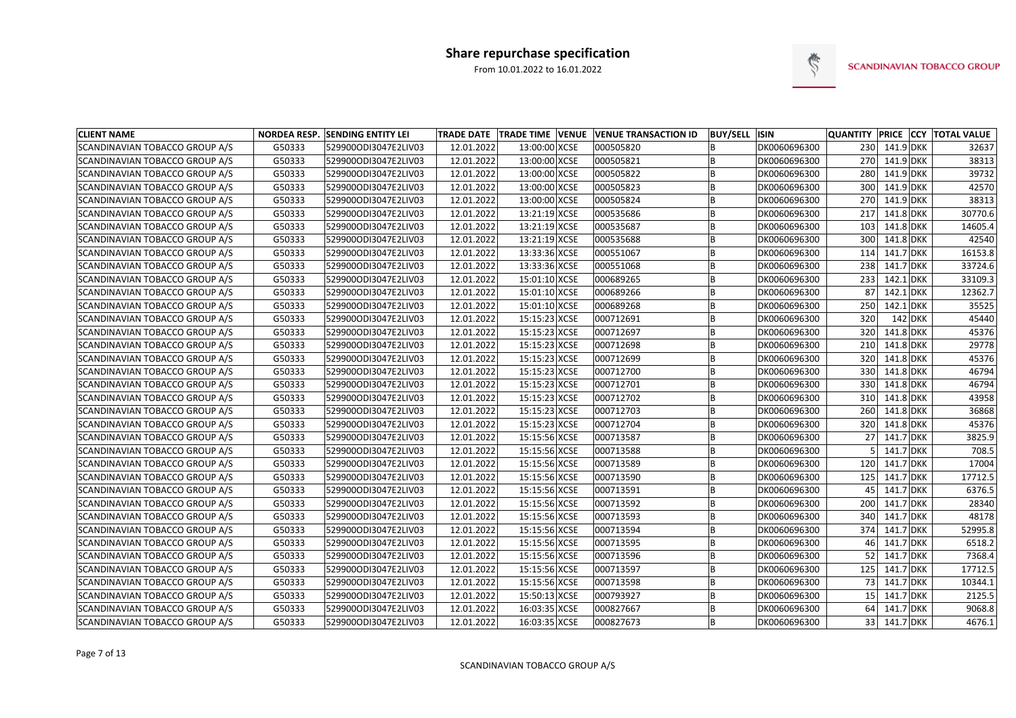

| <b>CLIENT NAME</b>                    |        | NORDEA RESP. SENDING ENTITY LEI |            |               | TRADE DATE   TRADE TIME   VENUE   VENUE TRANSACTION ID | <b>BUY/SELL ISIN</b> |              | <b>QUANTITY PRICE CCY</b> |               |         | <b>TOTAL VALUE</b> |
|---------------------------------------|--------|---------------------------------|------------|---------------|--------------------------------------------------------|----------------------|--------------|---------------------------|---------------|---------|--------------------|
| SCANDINAVIAN TOBACCO GROUP A/S        | G50333 | 529900ODI3047E2LIV03            | 12.01.2022 | 13:00:00 XCSE | 000505820                                              |                      | DK0060696300 |                           | 230 141.9 DKK |         | 32637              |
| <b>SCANDINAVIAN TOBACCO GROUP A/S</b> | G50333 | 529900ODI3047E2LIV03            | 12.01.2022 | 13:00:00 XCSE | 000505821                                              |                      | DK0060696300 | 270                       | 141.9 DKK     |         | 38313              |
| SCANDINAVIAN TOBACCO GROUP A/S        | G50333 | 529900ODI3047E2LIV03            | 12.01.2022 | 13:00:00 XCSE | 000505822                                              | B                    | DK0060696300 | 280                       | 141.9 DKK     |         | 39732              |
| SCANDINAVIAN TOBACCO GROUP A/S        | G50333 | 529900ODI3047E2LIV03            | 12.01.2022 | 13:00:00 XCSE | 000505823                                              |                      | DK0060696300 | 300                       | 141.9 DKK     |         | 42570              |
| SCANDINAVIAN TOBACCO GROUP A/S        | G50333 | 529900ODI3047E2LIV03            | 12.01.2022 | 13:00:00 XCSE | 000505824                                              |                      | DK0060696300 | 270                       | 141.9 DKK     |         | 38313              |
| SCANDINAVIAN TOBACCO GROUP A/S        | G50333 | 529900ODI3047E2LIV03            | 12.01.2022 | 13:21:19 XCSE | 000535686                                              |                      | DK0060696300 | 217                       | $141.8$ DKK   |         | 30770.6            |
| SCANDINAVIAN TOBACCO GROUP A/S        | G50333 | 529900ODI3047E2LIV03            | 12.01.2022 | 13:21:19 XCSE | 000535687                                              |                      | DK0060696300 | 103                       | 141.8 DKK     |         | 14605.4            |
| SCANDINAVIAN TOBACCO GROUP A/S        | G50333 | 529900ODI3047E2LIV03            | 12.01.2022 | 13:21:19 XCSE | 000535688                                              |                      | DK0060696300 | 300                       | 141.8 DKK     |         | 42540              |
| SCANDINAVIAN TOBACCO GROUP A/S        | G50333 | 529900ODI3047E2LIV03            | 12.01.2022 | 13:33:36 XCSE | 000551067                                              |                      | DK0060696300 | 114                       | 141.7 DKK     |         | 16153.8            |
| SCANDINAVIAN TOBACCO GROUP A/S        | G50333 | 529900ODI3047E2LIV03            | 12.01.2022 | 13:33:36 XCSE | 000551068                                              | B                    | DK0060696300 | 238                       | 141.7 DKK     |         | 33724.6            |
| SCANDINAVIAN TOBACCO GROUP A/S        | G50333 | 529900ODI3047E2LIV03            | 12.01.2022 | 15:01:10 XCSE | 000689265                                              |                      | DK0060696300 | 233                       | $142.1$ DKK   |         | 33109.3            |
| SCANDINAVIAN TOBACCO GROUP A/S        | G50333 | 529900ODI3047E2LIV03            | 12.01.2022 | 15:01:10 XCSE | 000689266                                              |                      | DK0060696300 | 87                        | $142.1$ DKK   |         | 12362.7            |
| SCANDINAVIAN TOBACCO GROUP A/S        | G50333 | 529900ODI3047E2LIV03            | 12.01.2022 | 15:01:10 XCSE | 000689268                                              |                      | DK0060696300 | 250                       | $142.1$ DKK   |         | 35525              |
| SCANDINAVIAN TOBACCO GROUP A/S        | G50333 | 529900ODI3047E2LIV03            | 12.01.2022 | 15:15:23 XCSE | 000712691                                              |                      | DK0060696300 | 320                       |               | 142 DKK | 45440              |
| SCANDINAVIAN TOBACCO GROUP A/S        | G50333 | 529900ODI3047E2LIV03            | 12.01.2022 | 15:15:23 XCSE | 000712697                                              |                      | DK0060696300 | 320                       | $141.8$ DKK   |         | 45376              |
| SCANDINAVIAN TOBACCO GROUP A/S        | G50333 | 529900ODI3047E2LIV03            | 12.01.2022 | 15:15:23 XCSE | 000712698                                              |                      | DK0060696300 | 210                       | $141.8$ DKK   |         | 29778              |
| SCANDINAVIAN TOBACCO GROUP A/S        | G50333 | 529900ODI3047E2LIV03            | 12.01.2022 | 15:15:23 XCSE | 000712699                                              |                      | DK0060696300 | 320                       | 141.8 DKK     |         | 45376              |
| SCANDINAVIAN TOBACCO GROUP A/S        | G50333 | 529900ODI3047E2LIV03            | 12.01.2022 | 15:15:23 XCSE | 000712700                                              |                      | DK0060696300 | 330                       | 141.8 DKK     |         | 46794              |
| SCANDINAVIAN TOBACCO GROUP A/S        | G50333 | 529900ODI3047E2LIV03            | 12.01.2022 | 15:15:23 XCSE | 000712701                                              |                      | DK0060696300 | 330                       | 141.8 DKK     |         | 46794              |
| SCANDINAVIAN TOBACCO GROUP A/S        | G50333 | 529900ODI3047E2LIV03            | 12.01.2022 | 15:15:23 XCSE | 000712702                                              |                      | DK0060696300 | 310                       | $141.8$ DKK   |         | 43958              |
| SCANDINAVIAN TOBACCO GROUP A/S        | G50333 | 529900ODI3047E2LIV03            | 12.01.2022 | 15:15:23 XCSE | 000712703                                              |                      | DK0060696300 | 260                       | 141.8 DKK     |         | 36868              |
| SCANDINAVIAN TOBACCO GROUP A/S        | G50333 | 529900ODI3047E2LIV03            | 12.01.2022 | 15:15:23 XCSE | 000712704                                              |                      | DK0060696300 | 320                       | 141.8 DKK     |         | 45376              |
| SCANDINAVIAN TOBACCO GROUP A/S        | G50333 | 529900ODI3047E2LIV03            | 12.01.2022 | 15:15:56 XCSE | 000713587                                              |                      | DK0060696300 | 27                        | 141.7 DKK     |         | 3825.9             |
| SCANDINAVIAN TOBACCO GROUP A/S        | G50333 | 529900ODI3047E2LIV03            | 12.01.2022 | 15:15:56 XCSE | 000713588                                              |                      | DK0060696300 |                           | 141.7 DKK     |         | 708.5              |
| SCANDINAVIAN TOBACCO GROUP A/S        | G50333 | 529900ODI3047E2LIV03            | 12.01.2022 | 15:15:56 XCSE | 000713589                                              |                      | DK0060696300 | 120                       | 141.7 DKK     |         | 17004              |
| SCANDINAVIAN TOBACCO GROUP A/S        | G50333 | 529900ODI3047E2LIV03            | 12.01.2022 | 15:15:56 XCSE | 000713590                                              |                      | DK0060696300 | 125                       | 141.7 DKK     |         | 17712.5            |
| SCANDINAVIAN TOBACCO GROUP A/S        | G50333 | 529900ODI3047E2LIV03            | 12.01.2022 | 15:15:56 XCSE | 000713591                                              |                      | DK0060696300 | 45                        | $141.7$ DKK   |         | 6376.5             |
| SCANDINAVIAN TOBACCO GROUP A/S        | G50333 | 529900ODI3047E2LIV03            | 12.01.2022 | 15:15:56 XCSE | 000713592                                              |                      | DK0060696300 | 200                       | $141.7$ DKK   |         | 28340              |
| SCANDINAVIAN TOBACCO GROUP A/S        | G50333 | 529900ODI3047E2LIV03            | 12.01.2022 | 15:15:56 XCSE | 000713593                                              |                      | DK0060696300 | 340                       | $141.7$ DKK   |         | 48178              |
| <b>SCANDINAVIAN TOBACCO GROUP A/S</b> | G50333 | 529900ODI3047E2LIV03            | 12.01.2022 | 15:15:56 XCSE | 000713594                                              |                      | DK0060696300 |                           | 374 141.7 DKK |         | 52995.8            |
| SCANDINAVIAN TOBACCO GROUP A/S        | G50333 | 529900ODI3047E2LIV03            | 12.01.2022 | 15:15:56 XCSE | 000713595                                              | ΙB                   | DK0060696300 |                           | 46 141.7 DKK  |         | 6518.2             |
| SCANDINAVIAN TOBACCO GROUP A/S        | G50333 | 529900ODI3047E2LIV03            | 12.01.2022 | 15:15:56 XCSE | 000713596                                              |                      | DK0060696300 |                           | 52 141.7 DKK  |         | 7368.4             |
| SCANDINAVIAN TOBACCO GROUP A/S        | G50333 | 529900ODI3047E2LIV03            | 12.01.2022 | 15:15:56 XCSE | 000713597                                              |                      | DK0060696300 |                           | 125 141.7 DKK |         | 17712.5            |
| SCANDINAVIAN TOBACCO GROUP A/S        | G50333 | 529900ODI3047E2LIV03            | 12.01.2022 | 15:15:56 XCSE | 000713598                                              |                      | DK0060696300 | 73                        | $141.7$ DKK   |         | 10344.1            |
| SCANDINAVIAN TOBACCO GROUP A/S        | G50333 | 529900ODI3047E2LIV03            | 12.01.2022 | 15:50:13 XCSE | 000793927                                              |                      | DK0060696300 | 15                        | $141.7$ DKK   |         | 2125.5             |
| SCANDINAVIAN TOBACCO GROUP A/S        | G50333 | 529900ODI3047E2LIV03            | 12.01.2022 | 16:03:35 XCSE | 000827667                                              | B                    | DK0060696300 |                           | 64 141.7 DKK  |         | 9068.8             |
| SCANDINAVIAN TOBACCO GROUP A/S        | G50333 | 529900ODI3047E2LIV03            | 12.01.2022 | 16:03:35 XCSE | 000827673                                              | B                    | DK0060696300 |                           | 33 141.7 DKK  |         | 4676.1             |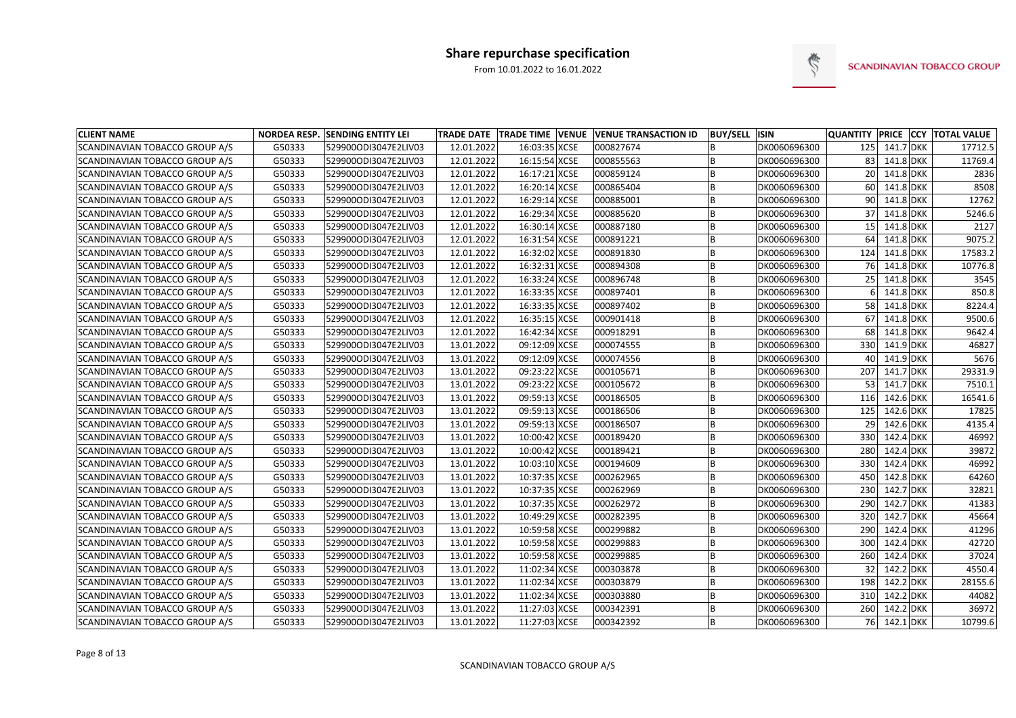

| <b>CLIENT NAME</b>             |        | <b>NORDEA RESP. SENDING ENTITY LEI</b> |            |               | TRADE DATE   TRADE TIME   VENUE   VENUE TRANSACTION ID | <b>BUY/SELL ISIN</b> |              | <b>QUANTITY PRICE CCY</b> |               | <b>TOTAL VALUE</b> |
|--------------------------------|--------|----------------------------------------|------------|---------------|--------------------------------------------------------|----------------------|--------------|---------------------------|---------------|--------------------|
| SCANDINAVIAN TOBACCO GROUP A/S | G50333 | 529900ODI3047E2LIV03                   | 12.01.2022 | 16:03:35 XCSE | 000827674                                              |                      | DK0060696300 | 125                       | $141.7$ DKK   | 17712.5            |
| SCANDINAVIAN TOBACCO GROUP A/S | G50333 | 529900ODI3047E2LIV03                   | 12.01.2022 | 16:15:54 XCSE | 000855563                                              |                      | DK0060696300 | 83                        | 141.8 DKK     | 11769.4            |
| SCANDINAVIAN TOBACCO GROUP A/S | G50333 | 529900ODI3047E2LIV03                   | 12.01.2022 | 16:17:21 XCSE | 000859124                                              |                      | DK0060696300 | 20                        | 141.8 DKK     | 2836               |
| SCANDINAVIAN TOBACCO GROUP A/S | G50333 | 529900ODI3047E2LIV03                   | 12.01.2022 | 16:20:14 XCSE | 000865404                                              |                      | DK0060696300 | 60                        | 141.8 DKK     | 8508               |
| SCANDINAVIAN TOBACCO GROUP A/S | G50333 | 529900ODI3047E2LIV03                   | 12.01.2022 | 16:29:14 XCSE | 000885001                                              |                      | DK0060696300 | 90                        | 141.8 DKK     | 12762              |
| SCANDINAVIAN TOBACCO GROUP A/S | G50333 | 529900ODI3047E2LIV03                   | 12.01.2022 | 16:29:34 XCSE | 000885620                                              |                      | DK0060696300 | 37                        | $141.8$ DKK   | 5246.6             |
| SCANDINAVIAN TOBACCO GROUP A/S | G50333 | 529900ODI3047E2LIV03                   | 12.01.2022 | 16:30:14 XCSE | 000887180                                              |                      | DK0060696300 | 15                        | 141.8 DKK     | 2127               |
| SCANDINAVIAN TOBACCO GROUP A/S | G50333 | 529900ODI3047E2LIV03                   | 12.01.2022 | 16:31:54 XCSE | 000891221                                              |                      | DK0060696300 | 64                        | 141.8 DKK     | 9075.2             |
| SCANDINAVIAN TOBACCO GROUP A/S | G50333 | 529900ODI3047E2LIV03                   | 12.01.2022 | 16:32:02 XCSE | 000891830                                              |                      | DK0060696300 | 124                       | 141.8 DKK     | 17583.2            |
| SCANDINAVIAN TOBACCO GROUP A/S | G50333 | 529900ODI3047E2LIV03                   | 12.01.2022 | 16:32:31 XCSE | 000894308                                              |                      | DK0060696300 | 76                        | 141.8 DKK     | 10776.8            |
| SCANDINAVIAN TOBACCO GROUP A/S | G50333 | 529900ODI3047E2LIV03                   | 12.01.2022 | 16:33:24 XCSE | 000896748                                              |                      | DK0060696300 | 25                        | 141.8 DKK     | 3545               |
| SCANDINAVIAN TOBACCO GROUP A/S | G50333 | 529900ODI3047E2LIV03                   | 12.01.2022 | 16:33:35 XCSE | 000897401                                              |                      | DK0060696300 |                           | 141.8 DKK     | 850.8              |
| SCANDINAVIAN TOBACCO GROUP A/S | G50333 | 529900ODI3047E2LIV03                   | 12.01.2022 | 16:33:35 XCSE | 000897402                                              |                      | DK0060696300 | 58                        | 141.8 DKK     | 8224.4             |
| SCANDINAVIAN TOBACCO GROUP A/S | G50333 | 529900ODI3047E2LIV03                   | 12.01.2022 | 16:35:15 XCSE | 000901418                                              |                      | DK0060696300 | 67                        | 141.8 DKK     | 9500.6             |
| SCANDINAVIAN TOBACCO GROUP A/S | G50333 | 529900ODI3047E2LIV03                   | 12.01.2022 | 16:42:34 XCSE | 000918291                                              |                      | DK0060696300 | 68                        | $141.8$ DKK   | 9642.4             |
| SCANDINAVIAN TOBACCO GROUP A/S | G50333 | 529900ODI3047E2LIV03                   | 13.01.2022 | 09:12:09 XCSE | 000074555                                              |                      | DK0060696300 | 330                       | 141.9 DKK     | 46827              |
| SCANDINAVIAN TOBACCO GROUP A/S | G50333 | 529900ODI3047E2LIV03                   | 13.01.2022 | 09:12:09 XCSE | 000074556                                              |                      | DK0060696300 | 40                        | 141.9 DKK     | 5676               |
| SCANDINAVIAN TOBACCO GROUP A/S | G50333 | 529900ODI3047E2LIV03                   | 13.01.2022 | 09:23:22 XCSE | 000105671                                              |                      | DK0060696300 | 207                       | 141.7 DKK     | 29331.9            |
| SCANDINAVIAN TOBACCO GROUP A/S | G50333 | 529900ODI3047E2LIV03                   | 13.01.2022 | 09:23:22 XCSE | 000105672                                              |                      | DK0060696300 | 53                        | 141.7 DKK     | 7510.1             |
| SCANDINAVIAN TOBACCO GROUP A/S | G50333 | 529900ODI3047E2LIV03                   | 13.01.2022 | 09:59:13 XCSE | 000186505                                              |                      | DK0060696300 | 116                       | 142.6 DKK     | 16541.6            |
| SCANDINAVIAN TOBACCO GROUP A/S | G50333 | 529900ODI3047E2LIV03                   | 13.01.2022 | 09:59:13 XCSE | 000186506                                              |                      | DK0060696300 | 125                       | 142.6 DKK     | 17825              |
| SCANDINAVIAN TOBACCO GROUP A/S | G50333 | 529900ODI3047E2LIV03                   | 13.01.2022 | 09:59:13 XCSE | 000186507                                              |                      | DK0060696300 | 29                        | 142.6 DKK     | 4135.4             |
| SCANDINAVIAN TOBACCO GROUP A/S | G50333 | 529900ODI3047E2LIV03                   | 13.01.2022 | 10:00:42 XCSE | 000189420                                              |                      | DK0060696300 | 330                       | 142.4 DKK     | 46992              |
| SCANDINAVIAN TOBACCO GROUP A/S | G50333 | 529900ODI3047E2LIV03                   | 13.01.2022 | 10:00:42 XCSE | 000189421                                              |                      | DK0060696300 | 280                       | $142.4$ DKK   | 39872              |
| SCANDINAVIAN TOBACCO GROUP A/S | G50333 | 529900ODI3047E2LIV03                   | 13.01.2022 | 10:03:10 XCSE | 000194609                                              |                      | DK0060696300 | 330                       | 142.4 DKK     | 46992              |
| SCANDINAVIAN TOBACCO GROUP A/S | G50333 | 529900ODI3047E2LIV03                   | 13.01.2022 | 10:37:35 XCSE | 000262965                                              |                      | DK0060696300 | 450                       | 142.8 DKK     | 64260              |
| SCANDINAVIAN TOBACCO GROUP A/S | G50333 | 529900ODI3047E2LIV03                   | 13.01.2022 | 10:37:35 XCSE | 000262969                                              |                      | DK0060696300 | 230                       | $142.7$ DKK   | 32821              |
| SCANDINAVIAN TOBACCO GROUP A/S | G50333 | 529900ODI3047E2LIV03                   | 13.01.2022 | 10:37:35 XCSE | 000262972                                              |                      | DK0060696300 | 290                       | $142.7$ DKK   | 41383              |
| SCANDINAVIAN TOBACCO GROUP A/S | G50333 | 529900ODI3047E2LIV03                   | 13.01.2022 | 10:49:29 XCSE | 000282395                                              |                      | DK0060696300 | 320                       | $142.7$ DKK   | 45664              |
| SCANDINAVIAN TOBACCO GROUP A/S | G50333 | 529900ODI3047E2LIV03                   | 13.01.2022 | 10:59:58 XCSE | 000299882                                              |                      | DK0060696300 |                           | 290 142.4 DKK | 41296              |
| SCANDINAVIAN TOBACCO GROUP A/S | G50333 | 529900ODI3047E2LIV03                   | 13.01.2022 | 10:59:58 XCSE | 000299883                                              | ΙB                   | DK0060696300 |                           | 300 142.4 DKK | 42720              |
| SCANDINAVIAN TOBACCO GROUP A/S | G50333 | 529900ODI3047E2LIV03                   | 13.01.2022 | 10:59:58 XCSE | 000299885                                              |                      | DK0060696300 |                           | 260 142.4 DKK | 37024              |
| SCANDINAVIAN TOBACCO GROUP A/S | G50333 | 529900ODI3047E2LIV03                   | 13.01.2022 | 11:02:34 XCSE | 000303878                                              | B                    | DK0060696300 | 32                        | 142.2 DKK     | 4550.4             |
| SCANDINAVIAN TOBACCO GROUP A/S | G50333 | 529900ODI3047E2LIV03                   | 13.01.2022 | 11:02:34 XCSE | 000303879                                              | B                    | DK0060696300 | 198                       | 142.2 DKK     | 28155.6            |
| SCANDINAVIAN TOBACCO GROUP A/S | G50333 | 529900ODI3047E2LIV03                   | 13.01.2022 | 11:02:34 XCSE | 000303880                                              |                      | DK0060696300 |                           | 310 142.2 DKK | 44082              |
| SCANDINAVIAN TOBACCO GROUP A/S | G50333 | 529900ODI3047E2LIV03                   | 13.01.2022 | 11:27:03 XCSE | 000342391                                              | B                    | DK0060696300 |                           | 260 142.2 DKK | 36972              |
| SCANDINAVIAN TOBACCO GROUP A/S | G50333 | 529900ODI3047E2LIV03                   | 13.01.2022 | 11:27:03 XCSE | 000342392                                              | B                    | DK0060696300 |                           | 76 142.1 DKK  | 10799.6            |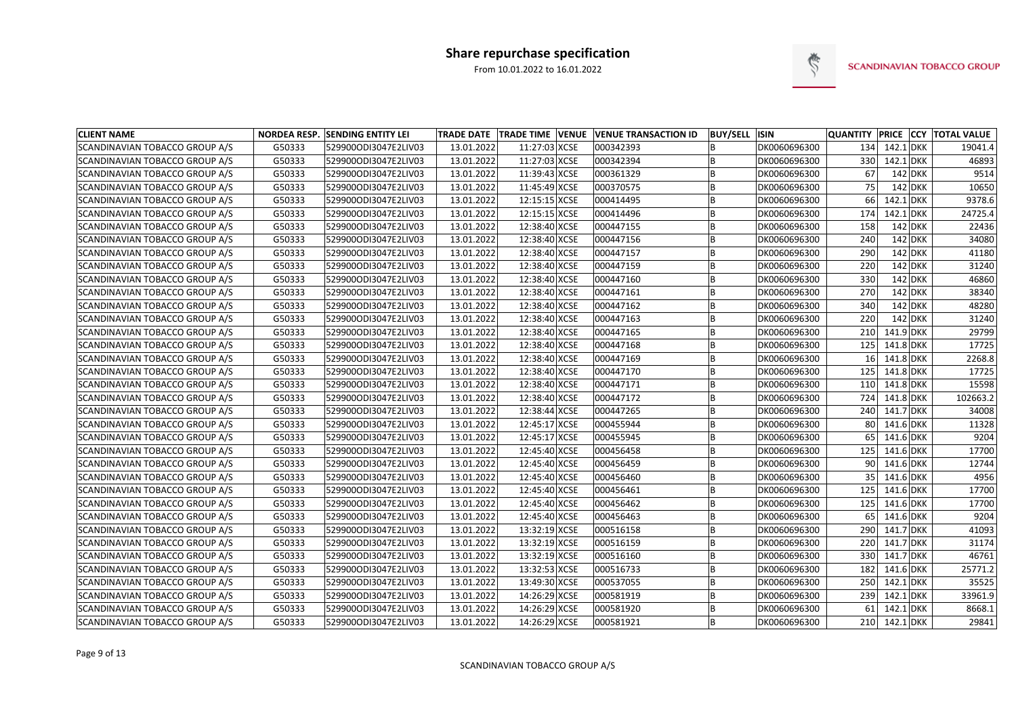

| <b>CLIENT NAME</b>             |        | <b>NORDEA RESP. SENDING ENTITY LEI</b> |            |               | TRADE DATE   TRADE TIME   VENUE   VENUE TRANSACTION ID | <b>BUY/SELL ISIN</b> |              | <b>QUANTITY PRICE CCY</b> |               |           | <b>TOTAL VALUE</b> |
|--------------------------------|--------|----------------------------------------|------------|---------------|--------------------------------------------------------|----------------------|--------------|---------------------------|---------------|-----------|--------------------|
| SCANDINAVIAN TOBACCO GROUP A/S | G50333 | 529900ODI3047E2LIV03                   | 13.01.2022 | 11:27:03 XCSE | 000342393                                              |                      | DK0060696300 |                           | 134 142.1 DKK |           | 19041.4            |
| SCANDINAVIAN TOBACCO GROUP A/S | G50333 | 529900ODI3047E2LIV03                   | 13.01.2022 | 11:27:03 XCSE | 000342394                                              |                      | DK0060696300 | 330                       | $142.1$ DKK   |           | 46893              |
| SCANDINAVIAN TOBACCO GROUP A/S | G50333 | 529900ODI3047E2LIV03                   | 13.01.2022 | 11:39:43 XCSE | 000361329                                              | B                    | DK0060696300 | 67                        |               | 142 DKK   | 9514               |
| SCANDINAVIAN TOBACCO GROUP A/S | G50333 | 529900ODI3047E2LIV03                   | 13.01.2022 | 11:45:49 XCSE | 000370575                                              |                      | DK0060696300 | 75                        |               | $142$ DKK | 10650              |
| SCANDINAVIAN TOBACCO GROUP A/S | G50333 | 529900ODI3047E2LIV03                   | 13.01.2022 | 12:15:15 XCSE | 000414495                                              |                      | DK0060696300 | 66                        | $142.1$ DKK   |           | 9378.6             |
| SCANDINAVIAN TOBACCO GROUP A/S | G50333 | 529900ODI3047E2LIV03                   | 13.01.2022 | 12:15:15 XCSE | 000414496                                              |                      | DK0060696300 | 174                       | $142.1$ DKK   |           | 24725.4            |
| SCANDINAVIAN TOBACCO GROUP A/S | G50333 | 529900ODI3047E2LIV03                   | 13.01.2022 | 12:38:40 XCSE | 000447155                                              |                      | DK0060696300 | 158                       |               | 142 DKK   | 22436              |
| SCANDINAVIAN TOBACCO GROUP A/S | G50333 | 529900ODI3047E2LIV03                   | 13.01.2022 | 12:38:40 XCSE | 000447156                                              |                      | DK0060696300 | 240                       |               | $142$ DKK | 34080              |
| SCANDINAVIAN TOBACCO GROUP A/S | G50333 | 529900ODI3047E2LIV03                   | 13.01.2022 | 12:38:40 XCSE | 000447157                                              |                      | DK0060696300 | 290                       |               | $142$ DKK | 41180              |
| SCANDINAVIAN TOBACCO GROUP A/S | G50333 | 529900ODI3047E2LIV03                   | 13.01.2022 | 12:38:40 XCSE | 000447159                                              | B                    | DK0060696300 | 220                       |               | $142$ DKK | 31240              |
| SCANDINAVIAN TOBACCO GROUP A/S | G50333 | 529900ODI3047E2LIV03                   | 13.01.2022 | 12:38:40 XCSE | 000447160                                              |                      | DK0060696300 | 330                       |               | $142$ DKK | 46860              |
| SCANDINAVIAN TOBACCO GROUP A/S | G50333 | 529900ODI3047E2LIV03                   | 13.01.2022 | 12:38:40 XCSE | 000447161                                              |                      | DK0060696300 | 270                       |               | $142$ DKK | 38340              |
| SCANDINAVIAN TOBACCO GROUP A/S | G50333 | 529900ODI3047E2LIV03                   | 13.01.2022 | 12:38:40 XCSE | 000447162                                              |                      | DK0060696300 | 340                       |               | $142$ DKK | 48280              |
| SCANDINAVIAN TOBACCO GROUP A/S | G50333 | 529900ODI3047E2LIV03                   | 13.01.2022 | 12:38:40 XCSE | 000447163                                              |                      | DK0060696300 | 220                       |               | 142 DKK   | 31240              |
| SCANDINAVIAN TOBACCO GROUP A/S | G50333 | 529900ODI3047E2LIV03                   | 13.01.2022 | 12:38:40 XCSE | 000447165                                              |                      | DK0060696300 | 210                       | $141.9$ DKK   |           | 29799              |
| SCANDINAVIAN TOBACCO GROUP A/S | G50333 | 529900ODI3047E2LIV03                   | 13.01.2022 | 12:38:40 XCSE | 000447168                                              |                      | DK0060696300 | 125                       | $141.8$ DKK   |           | 17725              |
| SCANDINAVIAN TOBACCO GROUP A/S | G50333 | 529900ODI3047E2LIV03                   | 13.01.2022 | 12:38:40 XCSE | 000447169                                              |                      | DK0060696300 | 16 <sup>1</sup>           | 141.8 DKK     |           | 2268.8             |
| SCANDINAVIAN TOBACCO GROUP A/S | G50333 | 529900ODI3047E2LIV03                   | 13.01.2022 | 12:38:40 XCSE | 000447170                                              |                      | DK0060696300 | 125                       | 141.8 DKK     |           | 17725              |
| SCANDINAVIAN TOBACCO GROUP A/S | G50333 | 529900ODI3047E2LIV03                   | 13.01.2022 | 12:38:40 XCSE | 000447171                                              |                      | DK0060696300 | 110                       | 141.8 DKK     |           | 15598              |
| SCANDINAVIAN TOBACCO GROUP A/S | G50333 | 529900ODI3047E2LIV03                   | 13.01.2022 | 12:38:40 XCSE | 000447172                                              |                      | DK0060696300 | 724                       | $141.8$ DKK   |           | 102663.2           |
| SCANDINAVIAN TOBACCO GROUP A/S | G50333 | 529900ODI3047E2LIV03                   | 13.01.2022 | 12:38:44 XCSE | 000447265                                              |                      | DK0060696300 | 240                       | 141.7 DKK     |           | 34008              |
| SCANDINAVIAN TOBACCO GROUP A/S | G50333 | 529900ODI3047E2LIV03                   | 13.01.2022 | 12:45:17 XCSE | 000455944                                              |                      | DK0060696300 | 80                        | 141.6 DKK     |           | 11328              |
| SCANDINAVIAN TOBACCO GROUP A/S | G50333 | 529900ODI3047E2LIV03                   | 13.01.2022 | 12:45:17 XCSE | 000455945                                              |                      | DK0060696300 | 65                        | 141.6 DKK     |           | 9204               |
| SCANDINAVIAN TOBACCO GROUP A/S | G50333 | 529900ODI3047E2LIV03                   | 13.01.2022 | 12:45:40 XCSE | 000456458                                              |                      | DK0060696300 | 125                       | 141.6 DKK     |           | 17700              |
| SCANDINAVIAN TOBACCO GROUP A/S | G50333 | 529900ODI3047E2LIV03                   | 13.01.2022 | 12:45:40 XCSE | 000456459                                              |                      | DK0060696300 | 90                        | 141.6 DKK     |           | 12744              |
| SCANDINAVIAN TOBACCO GROUP A/S | G50333 | 529900ODI3047E2LIV03                   | 13.01.2022 | 12:45:40 XCSE | 000456460                                              |                      | DK0060696300 | 35                        | 141.6 DKK     |           | 4956               |
| SCANDINAVIAN TOBACCO GROUP A/S | G50333 | 529900ODI3047E2LIV03                   | 13.01.2022 | 12:45:40 XCSE | 000456461                                              |                      | DK0060696300 | 125                       | 141.6 DKK     |           | 17700              |
| SCANDINAVIAN TOBACCO GROUP A/S | G50333 | 529900ODI3047E2LIV03                   | 13.01.2022 | 12:45:40 XCSE | 000456462                                              |                      | DK0060696300 | 125                       | 141.6 DKK     |           | 17700              |
| SCANDINAVIAN TOBACCO GROUP A/S | G50333 | 529900ODI3047E2LIV03                   | 13.01.2022 | 12:45:40 XCSE | 000456463                                              |                      | DK0060696300 | 65                        | 141.6 DKK     |           | 9204               |
| SCANDINAVIAN TOBACCO GROUP A/S | G50333 | 529900ODI3047E2LIV03                   | 13.01.2022 | 13:32:19 XCSE | 000516158                                              |                      | DK0060696300 |                           | 290 141.7 DKK |           | 41093              |
| SCANDINAVIAN TOBACCO GROUP A/S | G50333 | 529900ODI3047E2LIV03                   | 13.01.2022 | 13:32:19 XCSE | 000516159                                              | ΙB                   | DK0060696300 |                           | 220 141.7 DKK |           | 31174              |
| SCANDINAVIAN TOBACCO GROUP A/S | G50333 | 529900ODI3047E2LIV03                   | 13.01.2022 | 13:32:19 XCSE | 000516160                                              |                      | DK0060696300 |                           | 330 141.7 DKK |           | 46761              |
| SCANDINAVIAN TOBACCO GROUP A/S | G50333 | 529900ODI3047E2LIV03                   | 13.01.2022 | 13:32:53 XCSE | 000516733                                              | B                    | DK0060696300 | 182                       | 141.6 DKK     |           | 25771.2            |
| SCANDINAVIAN TOBACCO GROUP A/S | G50333 | 529900ODI3047E2LIV03                   | 13.01.2022 | 13:49:30 XCSE | 000537055                                              |                      | DK0060696300 | 250                       | $142.1$ DKK   |           | 35525              |
| SCANDINAVIAN TOBACCO GROUP A/S | G50333 | 529900ODI3047E2LIV03                   | 13.01.2022 | 14:26:29 XCSE | 000581919                                              | B                    | DK0060696300 | 239                       | $142.1$ DKK   |           | 33961.9            |
| SCANDINAVIAN TOBACCO GROUP A/S | G50333 | 529900ODI3047E2LIV03                   | 13.01.2022 | 14:26:29 XCSE | 000581920                                              | B                    | DK0060696300 | 61                        | 142.1 DKK     |           | 8668.1             |
| SCANDINAVIAN TOBACCO GROUP A/S | G50333 | 529900ODI3047E2LIV03                   | 13.01.2022 | 14:26:29 XCSE | 000581921                                              | B                    | DK0060696300 |                           | 210 142.1 DKK |           | 29841              |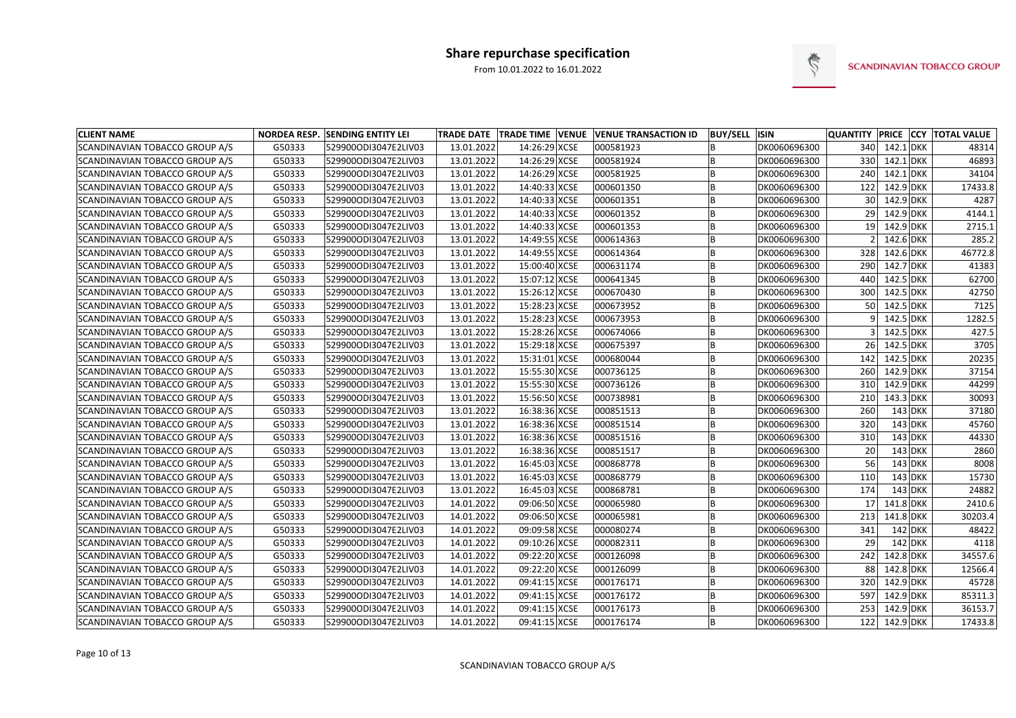

| <b>CLIENT NAME</b>             |        | <b>NORDEA RESP. SENDING ENTITY LEI</b> |            |               | TRADE DATE TRADE TIME VENUE VENUE TRANSACTION ID | <b>BUY/SELL ISIN</b> |              |                 |               | QUANTITY PRICE CCY TOTAL VALUE |
|--------------------------------|--------|----------------------------------------|------------|---------------|--------------------------------------------------|----------------------|--------------|-----------------|---------------|--------------------------------|
| SCANDINAVIAN TOBACCO GROUP A/S | G50333 | 529900ODI3047E2LIV03                   | 13.01.2022 | 14:26:29 XCSE | 000581923                                        |                      | DK0060696300 | 340             | $142.1$ DKK   | 48314                          |
| SCANDINAVIAN TOBACCO GROUP A/S | G50333 | 529900ODI3047E2LIV03                   | 13.01.2022 | 14:26:29 XCSE | 000581924                                        |                      | DK0060696300 | 330             | $142.1$ DKK   | 46893                          |
| SCANDINAVIAN TOBACCO GROUP A/S | G50333 | 529900ODI3047E2LIV03                   | 13.01.2022 | 14:26:29 XCSE | 000581925                                        |                      | DK0060696300 | 240             | $142.1$ DKK   | 34104                          |
| SCANDINAVIAN TOBACCO GROUP A/S | G50333 | 529900ODI3047E2LIV03                   | 13.01.2022 | 14:40:33 XCSE | 000601350                                        |                      | DK0060696300 | 122             | 142.9 DKK     | 17433.8                        |
| SCANDINAVIAN TOBACCO GROUP A/S | G50333 | 529900ODI3047E2LIV03                   | 13.01.2022 | 14:40:33 XCSE | 000601351                                        |                      | DK0060696300 | 30 <sup>2</sup> | 142.9 DKK     | 4287                           |
| SCANDINAVIAN TOBACCO GROUP A/S | G50333 | 529900ODI3047E2LIV03                   | 13.01.2022 | 14:40:33 XCSE | 000601352                                        |                      | DK0060696300 | 29              | 142.9 DKK     | 4144.1                         |
| SCANDINAVIAN TOBACCO GROUP A/S | G50333 | 529900ODI3047E2LIV03                   | 13.01.2022 | 14:40:33 XCSE | 000601353                                        |                      | DK0060696300 | 19              | 142.9 DKK     | 2715.1                         |
| SCANDINAVIAN TOBACCO GROUP A/S | G50333 | 529900ODI3047E2LIV03                   | 13.01.2022 | 14:49:55 XCSE | 000614363                                        |                      | DK0060696300 |                 | 142.6 DKK     | 285.2                          |
| SCANDINAVIAN TOBACCO GROUP A/S | G50333 | 529900ODI3047E2LIV03                   | 13.01.2022 | 14:49:55 XCSE | 000614364                                        |                      | DK0060696300 | 328             | 142.6 DKK     | 46772.8                        |
| SCANDINAVIAN TOBACCO GROUP A/S | G50333 | 529900ODI3047E2LIV03                   | 13.01.2022 | 15:00:40 XCSE | 000631174                                        |                      | DK0060696300 | 290             | $142.7$ DKK   | 41383                          |
| SCANDINAVIAN TOBACCO GROUP A/S | G50333 | 529900ODI3047E2LIV03                   | 13.01.2022 | 15:07:12 XCSE | 000641345                                        |                      | DK0060696300 | 440             | 142.5 DKK     | 62700                          |
| SCANDINAVIAN TOBACCO GROUP A/S | G50333 | 529900ODI3047E2LIV03                   | 13.01.2022 | 15:26:12 XCSE | 000670430                                        |                      | DK0060696300 | 300             | 142.5 DKK     | 42750                          |
| SCANDINAVIAN TOBACCO GROUP A/S | G50333 | 529900ODI3047E2LIV03                   | 13.01.2022 | 15:28:23 XCSE | 000673952                                        |                      | DK0060696300 | 50              | 142.5 DKK     | 7125                           |
| SCANDINAVIAN TOBACCO GROUP A/S | G50333 | 529900ODI3047E2LIV03                   | 13.01.2022 | 15:28:23 XCSE | 000673953                                        |                      | DK0060696300 |                 | 142.5 DKK     | 1282.5                         |
| SCANDINAVIAN TOBACCO GROUP A/S | G50333 | 529900ODI3047E2LIV03                   | 13.01.2022 | 15:28:26 XCSE | 000674066                                        |                      | DK0060696300 |                 | 142.5 DKK     | 427.5                          |
| SCANDINAVIAN TOBACCO GROUP A/S | G50333 | 529900ODI3047E2LIV03                   | 13.01.2022 | 15:29:18 XCSE | 000675397                                        |                      | DK0060696300 | 26              | 142.5 DKK     | 3705                           |
| SCANDINAVIAN TOBACCO GROUP A/S | G50333 | 529900ODI3047E2LIV03                   | 13.01.2022 | 15:31:01 XCSE | 000680044                                        |                      | DK0060696300 | 142             | 142.5 DKK     | 20235                          |
| SCANDINAVIAN TOBACCO GROUP A/S | G50333 | 529900ODI3047E2LIV03                   | 13.01.2022 | 15:55:30 XCSE | 000736125                                        |                      | DK0060696300 | 260             | 142.9 DKK     | 37154                          |
| SCANDINAVIAN TOBACCO GROUP A/S | G50333 | 529900ODI3047E2LIV03                   | 13.01.2022 | 15:55:30 XCSE | 000736126                                        |                      | DK0060696300 | 310             | 142.9 DKK     | 44299                          |
| SCANDINAVIAN TOBACCO GROUP A/S | G50333 | 529900ODI3047E2LIV03                   | 13.01.2022 | 15:56:50 XCSE | 000738981                                        |                      | DK0060696300 | 210             | $143.3$ DKK   | 30093                          |
| SCANDINAVIAN TOBACCO GROUP A/S | G50333 | 529900ODI3047E2LIV03                   | 13.01.2022 | 16:38:36 XCSE | 000851513                                        |                      | DK0060696300 | 260             | 143 DKK       | 37180                          |
| SCANDINAVIAN TOBACCO GROUP A/S | G50333 | 529900ODI3047E2LIV03                   | 13.01.2022 | 16:38:36 XCSE | 000851514                                        |                      | DK0060696300 | 320             | $143$ DKK     | 45760                          |
| SCANDINAVIAN TOBACCO GROUP A/S | G50333 | 529900ODI3047E2LIV03                   | 13.01.2022 | 16:38:36 XCSE | 000851516                                        |                      | DK0060696300 | 310             | $143$ DKK     | 44330                          |
| SCANDINAVIAN TOBACCO GROUP A/S | G50333 | 529900ODI3047E2LIV03                   | 13.01.2022 | 16:38:36 XCSE | 000851517                                        |                      | DK0060696300 | 20              | $143$ DKK     | 2860                           |
| SCANDINAVIAN TOBACCO GROUP A/S | G50333 | 529900ODI3047E2LIV03                   | 13.01.2022 | 16:45:03 XCSE | 000868778                                        |                      | DK0060696300 | 56              | 143 DKK       | 8008                           |
| SCANDINAVIAN TOBACCO GROUP A/S | G50333 | 529900ODI3047E2LIV03                   | 13.01.2022 | 16:45:03 XCSE | 000868779                                        |                      | DK0060696300 | 110             | 143 DKK       | 15730                          |
| SCANDINAVIAN TOBACCO GROUP A/S | G50333 | 529900ODI3047E2LIV03                   | 13.01.2022 | 16:45:03 XCSE | 000868781                                        |                      | DK0060696300 | 174             | 143 DKK       | 24882                          |
| SCANDINAVIAN TOBACCO GROUP A/S | G50333 | 529900ODI3047E2LIV03                   | 14.01.2022 | 09:06:50 XCSE | 000065980                                        |                      | DK0060696300 | 17 <sup>1</sup> | 141.8 DKK     | 2410.6                         |
| SCANDINAVIAN TOBACCO GROUP A/S | G50333 | 529900ODI3047E2LIV03                   | 14.01.2022 | 09:06:50 XCSE | 000065981                                        |                      | DK0060696300 | 213             | $141.8$ DKK   | 30203.4                        |
| SCANDINAVIAN TOBACCO GROUP A/S | G50333 | 529900ODI3047E2LIV03                   | 14.01.2022 | 09:09:58 XCSE | 000080274                                        |                      | DK0060696300 | 341             | 142 DKK       | 48422                          |
| SCANDINAVIAN TOBACCO GROUP A/S | G50333 | 529900ODI3047E2LIV03                   | 14.01.2022 | 09:10:26 XCSE | 000082311                                        | B                    | DK0060696300 | 29              | 142 DKK       | 4118                           |
| SCANDINAVIAN TOBACCO GROUP A/S | G50333 | 529900ODI3047E2LIV03                   | 14.01.2022 | 09:22:20 XCSE | 000126098                                        |                      | DK0060696300 | 242             | 142.8 DKK     | 34557.6                        |
| SCANDINAVIAN TOBACCO GROUP A/S | G50333 | 529900ODI3047E2LIV03                   | 14.01.2022 | 09:22:20 XCSE | 000126099                                        | B                    | DK0060696300 | 88              | 142.8 DKK     | 12566.4                        |
| SCANDINAVIAN TOBACCO GROUP A/S | G50333 | 529900ODI3047E2LIV03                   | 14.01.2022 | 09:41:15 XCSE | 000176171                                        |                      | DK0060696300 | 320             | 142.9 DKK     | 45728                          |
| SCANDINAVIAN TOBACCO GROUP A/S | G50333 | 529900ODI3047E2LIV03                   | 14.01.2022 | 09:41:15 XCSE | 000176172                                        |                      | DK0060696300 | 597             | 142.9 DKK     | 85311.3                        |
| SCANDINAVIAN TOBACCO GROUP A/S | G50333 | 529900ODI3047E2LIV03                   | 14.01.2022 | 09:41:15 XCSE | 000176173                                        |                      | DK0060696300 | 253             | 142.9 DKK     | 36153.7                        |
| SCANDINAVIAN TOBACCO GROUP A/S | G50333 | 529900ODI3047E2LIV03                   | 14.01.2022 | 09:41:15 XCSE | 000176174                                        | B                    | DK0060696300 |                 | 122 142.9 DKK | 17433.8                        |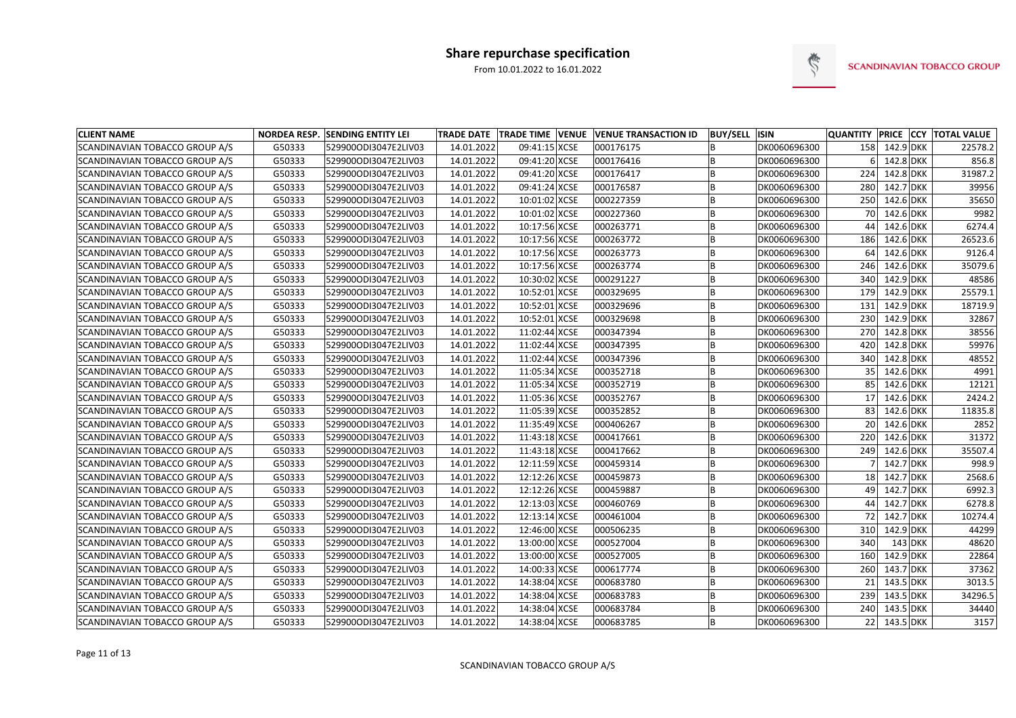

| <b>CLIENT NAME</b>             |        | <b>NORDEA RESP. SENDING ENTITY LEI</b> |            |               | TRADE DATE TRADE TIME VENUE VENUE TRANSACTION ID | <b>BUY/SELL ISIN</b> |              | <b>QUANTITY PRICE CCY</b> |               |         | <b>TOTAL VALUE</b> |
|--------------------------------|--------|----------------------------------------|------------|---------------|--------------------------------------------------|----------------------|--------------|---------------------------|---------------|---------|--------------------|
| SCANDINAVIAN TOBACCO GROUP A/S | G50333 | 529900ODI3047E2LIV03                   | 14.01.2022 | 09:41:15 XCSE | 000176175                                        |                      | DK0060696300 |                           | 158 142.9 DKK |         | 22578.2            |
| SCANDINAVIAN TOBACCO GROUP A/S | G50333 | 529900ODI3047E2LIV03                   | 14.01.2022 | 09:41:20 XCSE | 000176416                                        |                      | DK0060696300 |                           | 142.8 DKK     |         | 856.8              |
| SCANDINAVIAN TOBACCO GROUP A/S | G50333 | 529900ODI3047E2LIV03                   | 14.01.2022 | 09:41:20 XCSE | 000176417                                        |                      | DK0060696300 | 224                       | 142.8 DKK     |         | 31987.2            |
| SCANDINAVIAN TOBACCO GROUP A/S | G50333 | 529900ODI3047E2LIV03                   | 14.01.2022 | 09:41:24 XCSE | 000176587                                        |                      | DK0060696300 | 280                       | 142.7 DKK     |         | 39956              |
| SCANDINAVIAN TOBACCO GROUP A/S | G50333 | 529900ODI3047E2LIV03                   | 14.01.2022 | 10:01:02 XCSE | 000227359                                        |                      | DK0060696300 | 250                       | 142.6 DKK     |         | 35650              |
| SCANDINAVIAN TOBACCO GROUP A/S | G50333 | 529900ODI3047E2LIV03                   | 14.01.2022 | 10:01:02 XCSE | 000227360                                        |                      | DK0060696300 | 70                        | 142.6 DKK     |         | 9982               |
| SCANDINAVIAN TOBACCO GROUP A/S | G50333 | 529900ODI3047E2LIV03                   | 14.01.2022 | 10:17:56 XCSE | 000263771                                        |                      | DK0060696300 | 44                        | 142.6 DKK     |         | 6274.4             |
| SCANDINAVIAN TOBACCO GROUP A/S | G50333 | 529900ODI3047E2LIV03                   | 14.01.2022 | 10:17:56 XCSE | 000263772                                        |                      | DK0060696300 | 186                       | 142.6 DKK     |         | 26523.6            |
| SCANDINAVIAN TOBACCO GROUP A/S | G50333 | 529900ODI3047E2LIV03                   | 14.01.2022 | 10:17:56 XCSE | 000263773                                        |                      | DK0060696300 | 64                        | 142.6 DKK     |         | 9126.4             |
| SCANDINAVIAN TOBACCO GROUP A/S | G50333 | 529900ODI3047E2LIV03                   | 14.01.2022 | 10:17:56 XCSE | 000263774                                        |                      | DK0060696300 | 246                       | 142.6 DKK     |         | 35079.6            |
| SCANDINAVIAN TOBACCO GROUP A/S | G50333 | 529900ODI3047E2LIV03                   | 14.01.2022 | 10:30:02 XCSE | 000291227                                        |                      | DK0060696300 | 340                       | $142.9$ DKK   |         | 48586              |
| SCANDINAVIAN TOBACCO GROUP A/S | G50333 | 529900ODI3047E2LIV03                   | 14.01.2022 | 10:52:01 XCSE | 000329695                                        |                      | DK0060696300 | 179                       | $142.9$ DKK   |         | 25579.1            |
| SCANDINAVIAN TOBACCO GROUP A/S | G50333 | 529900ODI3047E2LIV03                   | 14.01.2022 | 10:52:01 XCSE | 000329696                                        |                      | DK0060696300 | 131                       | $142.9$ DKK   |         | 18719.9            |
| SCANDINAVIAN TOBACCO GROUP A/S | G50333 | 529900ODI3047E2LIV03                   | 14.01.2022 | 10:52:01 XCSE | 000329698                                        |                      | DK0060696300 | 230                       | 142.9 DKK     |         | 32867              |
| SCANDINAVIAN TOBACCO GROUP A/S | G50333 | 529900ODI3047E2LIV03                   | 14.01.2022 | 11:02:44 XCSE | 000347394                                        |                      | DK0060696300 | 270                       | 142.8 DKK     |         | 38556              |
| SCANDINAVIAN TOBACCO GROUP A/S | G50333 | 529900ODI3047E2LIV03                   | 14.01.2022 | 11:02:44 XCSE | 000347395                                        |                      | DK0060696300 | 420                       | $142.8$ DKK   |         | 59976              |
| SCANDINAVIAN TOBACCO GROUP A/S | G50333 | 529900ODI3047E2LIV03                   | 14.01.2022 | 11:02:44 XCSE | 000347396                                        |                      | DK0060696300 | 340                       | 142.8 DKK     |         | 48552              |
| SCANDINAVIAN TOBACCO GROUP A/S | G50333 | 529900ODI3047E2LIV03                   | 14.01.2022 | 11:05:34 XCSE | 000352718                                        |                      | DK0060696300 | 35                        | 142.6 DKK     |         | 4991               |
| SCANDINAVIAN TOBACCO GROUP A/S | G50333 | 529900ODI3047E2LIV03                   | 14.01.2022 | 11:05:34 XCSE | 000352719                                        |                      | DK0060696300 | 85                        | 142.6 DKK     |         | 12121              |
| SCANDINAVIAN TOBACCO GROUP A/S | G50333 | 529900ODI3047E2LIV03                   | 14.01.2022 | 11:05:36 XCSE | 000352767                                        |                      | DK0060696300 | 17                        | 142.6 DKK     |         | 2424.2             |
| SCANDINAVIAN TOBACCO GROUP A/S | G50333 | 529900ODI3047E2LIV03                   | 14.01.2022 | 11:05:39 XCSE | 000352852                                        |                      | DK0060696300 | 83                        | 142.6 DKK     |         | 11835.8            |
| SCANDINAVIAN TOBACCO GROUP A/S | G50333 | 529900ODI3047E2LIV03                   | 14.01.2022 | 11:35:49 XCSE | 000406267                                        |                      | DK0060696300 | 20                        | 142.6 DKK     |         | 2852               |
| SCANDINAVIAN TOBACCO GROUP A/S | G50333 | 529900ODI3047E2LIV03                   | 14.01.2022 | 11:43:18 XCSE | 000417661                                        |                      | DK0060696300 | 220                       | 142.6 DKK     |         | 31372              |
| SCANDINAVIAN TOBACCO GROUP A/S | G50333 | 529900ODI3047E2LIV03                   | 14.01.2022 | 11:43:18 XCSE | 000417662                                        |                      | DK0060696300 | 249                       | 142.6 DKK     |         | 35507.4            |
| SCANDINAVIAN TOBACCO GROUP A/S | G50333 | 529900ODI3047E2LIV03                   | 14.01.2022 | 12:11:59 XCSE | 000459314                                        |                      | DK0060696300 |                           | $142.7$ DKK   |         | 998.9              |
| SCANDINAVIAN TOBACCO GROUP A/S | G50333 | 529900ODI3047E2LIV03                   | 14.01.2022 | 12:12:26 XCSE | 000459873                                        |                      | DK0060696300 | 18                        | 142.7 DKK     |         | 2568.6             |
| SCANDINAVIAN TOBACCO GROUP A/S | G50333 | 529900ODI3047E2LIV03                   | 14.01.2022 | 12:12:26 XCSE | 000459887                                        |                      | DK0060696300 | 49                        | $142.7$ DKK   |         | 6992.3             |
| SCANDINAVIAN TOBACCO GROUP A/S | G50333 | 529900ODI3047E2LIV03                   | 14.01.2022 | 12:13:03 XCSE | 000460769                                        |                      | DK0060696300 | 44                        | 142.7 DKK     |         | 6278.8             |
| SCANDINAVIAN TOBACCO GROUP A/S | G50333 | 529900ODI3047E2LIV03                   | 14.01.2022 | 12:13:14 XCSE | 000461004                                        |                      | DK0060696300 |                           | 72 142.7 DKK  |         | 10274.4            |
| SCANDINAVIAN TOBACCO GROUP A/S | G50333 | 529900ODI3047E2LIV03                   | 14.01.2022 | 12:46:00 XCSE | 000506235                                        |                      | DK0060696300 |                           | 310 142.9 DKK |         | 44299              |
| SCANDINAVIAN TOBACCO GROUP A/S | G50333 | 529900ODI3047E2LIV03                   | 14.01.2022 | 13:00:00 XCSE | 000527004                                        | B                    | DK0060696300 | 340                       |               | 143 DKK | 48620              |
| SCANDINAVIAN TOBACCO GROUP A/S | G50333 | 529900ODI3047E2LIV03                   | 14.01.2022 | 13:00:00 XCSE | 000527005                                        |                      | DK0060696300 | 160                       | 142.9 DKK     |         | 22864              |
| SCANDINAVIAN TOBACCO GROUP A/S | G50333 | 529900ODI3047E2LIV03                   | 14.01.2022 | 14:00:33 XCSE | 000617774                                        |                      | DK0060696300 | 260                       | 143.7 DKK     |         | 37362              |
| SCANDINAVIAN TOBACCO GROUP A/S | G50333 | 529900ODI3047E2LIV03                   | 14.01.2022 | 14:38:04 XCSE | 000683780                                        | B                    | DK0060696300 | 21                        | 143.5 DKK     |         | 3013.5             |
| SCANDINAVIAN TOBACCO GROUP A/S | G50333 | 529900ODI3047E2LIV03                   | 14.01.2022 | 14:38:04 XCSE | 000683783                                        | B                    | DK0060696300 |                           | 239 143.5 DKK |         | 34296.5            |
| SCANDINAVIAN TOBACCO GROUP A/S | G50333 | 529900ODI3047E2LIV03                   | 14.01.2022 | 14:38:04 XCSE | 000683784                                        | B                    | DK0060696300 |                           | 240 143.5 DKK |         | 34440              |
| SCANDINAVIAN TOBACCO GROUP A/S | G50333 | 529900ODI3047E2LIV03                   | 14.01.2022 | 14:38:04 XCSE | 000683785                                        | B                    | DK0060696300 |                           | 22 143.5 DKK  |         | 3157               |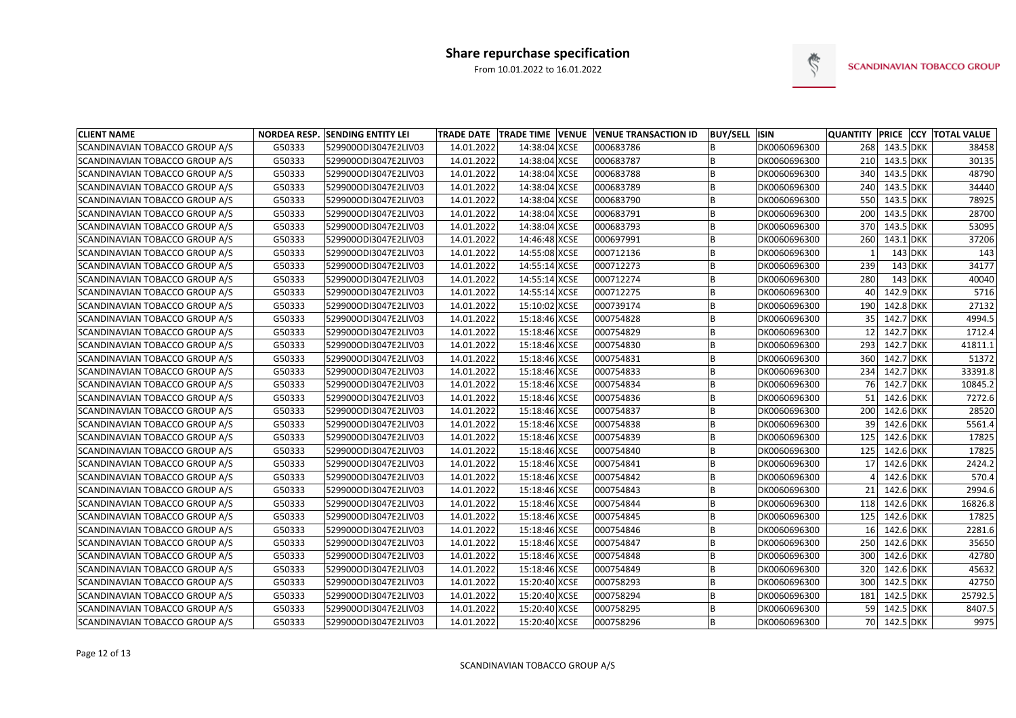

| <b>CLIENT NAME</b>                    |        | <b>NORDEA RESP. SENDING ENTITY LEI</b> |            | TRADE DATE   TRADE TIME   VENUE | <b>VENUE TRANSACTION ID</b> | <b>BUY/SELL</b> | <b>ISIN</b>  | <b>QUANTITY</b> |               | <b>PRICE CCY TOTAL VALUE</b> |
|---------------------------------------|--------|----------------------------------------|------------|---------------------------------|-----------------------------|-----------------|--------------|-----------------|---------------|------------------------------|
| SCANDINAVIAN TOBACCO GROUP A/S        | G50333 | 529900ODI3047E2LIV03                   | 14.01.2022 | 14:38:04 XCSE                   | 000683786                   |                 | DK0060696300 | 268             | 143.5 DKK     | 38458                        |
| SCANDINAVIAN TOBACCO GROUP A/S        | G50333 | 529900ODI3047E2LIV03                   | 14.01.2022 | 14:38:04 XCSE                   | 000683787                   |                 | DK0060696300 | 210             | 143.5 DKK     | 30135                        |
| <b>SCANDINAVIAN TOBACCO GROUP A/S</b> | G50333 | 529900ODI3047E2LIV03                   | 14.01.2022 | 14:38:04 XCSE                   | 000683788                   | B               | DK0060696300 | 340             | 143.5 DKK     | 48790                        |
| SCANDINAVIAN TOBACCO GROUP A/S        | G50333 | 529900ODI3047E2LIV03                   | 14.01.2022 | 14:38:04 XCSE                   | 000683789                   |                 | DK0060696300 | 240             | 143.5 DKK     | 34440                        |
| SCANDINAVIAN TOBACCO GROUP A/S        | G50333 | 529900ODI3047E2LIV03                   | 14.01.2022 | 14:38:04 XCSE                   | 000683790                   |                 | DK0060696300 | 550             | 143.5 DKK     | 78925                        |
| SCANDINAVIAN TOBACCO GROUP A/S        | G50333 | 529900ODI3047E2LIV03                   | 14.01.2022 | 14:38:04 XCSE                   | 000683791                   |                 | DK0060696300 | 200             | 143.5 DKK     | 28700                        |
| SCANDINAVIAN TOBACCO GROUP A/S        | G50333 | 529900ODI3047E2LIV03                   | 14.01.2022 | 14:38:04 XCSE                   | 000683793                   |                 | DK0060696300 | 370             | 143.5 DKK     | 53095                        |
| SCANDINAVIAN TOBACCO GROUP A/S        | G50333 | 529900ODI3047E2LIV03                   | 14.01.2022 | 14:46:48 XCSE                   | 000697991                   |                 | DK0060696300 | 260             | 143.1 DKK     | 37206                        |
| SCANDINAVIAN TOBACCO GROUP A/S        | G50333 | 529900ODI3047E2LIV03                   | 14.01.2022 | 14:55:08 XCSE                   | 000712136                   |                 | DK0060696300 |                 | $143$ DKK     | 143                          |
| SCANDINAVIAN TOBACCO GROUP A/S        | G50333 | 529900ODI3047E2LIV03                   | 14.01.2022 | 14:55:14 XCSE                   | 000712273                   | B               | DK0060696300 | 239             | $143$ DKK     | 34177                        |
| SCANDINAVIAN TOBACCO GROUP A/S        | G50333 | 529900ODI3047E2LIV03                   | 14.01.2022 | 14:55:14 XCSE                   | 000712274                   |                 | DK0060696300 | 280             | $143$ DKK     | 40040                        |
| SCANDINAVIAN TOBACCO GROUP A/S        | G50333 | 529900ODI3047E2LIV03                   | 14.01.2022 | 14:55:14 XCSE                   | 000712275                   |                 | DK0060696300 | 40              | $142.9$ DKK   | 5716                         |
| SCANDINAVIAN TOBACCO GROUP A/S        | G50333 | 529900ODI3047E2LIV03                   | 14.01.2022 | 15:10:02 XCSE                   | 000739174                   |                 | DK0060696300 | 190             | 142.8 DKK     | 27132                        |
| SCANDINAVIAN TOBACCO GROUP A/S        | G50333 | 529900ODI3047E2LIV03                   | 14.01.2022 | 15:18:46 XCSE                   | 000754828                   |                 | DK0060696300 | 35              | 142.7 DKK     | 4994.5                       |
| SCANDINAVIAN TOBACCO GROUP A/S        | G50333 | 529900ODI3047E2LIV03                   | 14.01.2022 | 15:18:46 XCSE                   | 000754829                   |                 | DK0060696300 | 12              | 142.7 DKK     | 1712.4                       |
| SCANDINAVIAN TOBACCO GROUP A/S        | G50333 | 529900ODI3047E2LIV03                   | 14.01.2022 | 15:18:46 XCSE                   | 000754830                   | B               | DK0060696300 | 293             | 142.7 DKK     | 41811.1                      |
| SCANDINAVIAN TOBACCO GROUP A/S        | G50333 | 529900ODI3047E2LIV03                   | 14.01.2022 | 15:18:46 XCSE                   | 000754831                   | B               | DK0060696300 | 360             | 142.7 DKK     | 51372                        |
| SCANDINAVIAN TOBACCO GROUP A/S        | G50333 | 529900ODI3047E2LIV03                   | 14.01.2022 | 15:18:46 XCSE                   | 000754833                   |                 | DK0060696300 | 234             | 142.7 DKK     | 33391.8                      |
| SCANDINAVIAN TOBACCO GROUP A/S        | G50333 | 529900ODI3047E2LIV03                   | 14.01.2022 | 15:18:46 XCSE                   | 000754834                   |                 | DK0060696300 | 76              | 142.7 DKK     | 10845.2                      |
| SCANDINAVIAN TOBACCO GROUP A/S        | G50333 | 529900ODI3047E2LIV03                   | 14.01.2022 | 15:18:46 XCSE                   | 000754836                   |                 | DK0060696300 | 51              | 142.6 DKK     | 7272.6                       |
| SCANDINAVIAN TOBACCO GROUP A/S        | G50333 | 529900ODI3047E2LIV03                   | 14.01.2022 | 15:18:46 XCSE                   | 000754837                   | B               | DK0060696300 | 200             | 142.6 DKK     | 28520                        |
| SCANDINAVIAN TOBACCO GROUP A/S        | G50333 | 529900ODI3047E2LIV03                   | 14.01.2022 | 15:18:46 XCSE                   | 000754838                   |                 | DK0060696300 | 39              | 142.6 DKK     | 5561.4                       |
| SCANDINAVIAN TOBACCO GROUP A/S        | G50333 | 529900ODI3047E2LIV03                   | 14.01.2022 | 15:18:46 XCSE                   | 000754839                   |                 | DK0060696300 | 125             | $142.6$ DKK   | 17825                        |
| SCANDINAVIAN TOBACCO GROUP A/S        | G50333 | 529900ODI3047E2LIV03                   | 14.01.2022 | 15:18:46 XCSE                   | 000754840                   |                 | DK0060696300 | 125             | $142.6$ DKK   | 17825                        |
| SCANDINAVIAN TOBACCO GROUP A/S        | G50333 | 529900ODI3047E2LIV03                   | 14.01.2022 | 15:18:46 XCSE                   | 000754841                   |                 | DK0060696300 |                 | 142.6 DKK     | 2424.2                       |
| SCANDINAVIAN TOBACCO GROUP A/S        | G50333 | 529900ODI3047E2LIV03                   | 14.01.2022 | 15:18:46 XCSE                   | 000754842                   |                 | DK0060696300 |                 | 142.6 DKK     | 570.4                        |
| SCANDINAVIAN TOBACCO GROUP A/S        | G50333 | 529900ODI3047E2LIV03                   | 14.01.2022 | 15:18:46 XCSE                   | 000754843                   |                 | DK0060696300 |                 | 142.6 DKK     | 2994.6                       |
| SCANDINAVIAN TOBACCO GROUP A/S        | G50333 | 529900ODI3047E2LIV03                   | 14.01.2022 | 15:18:46 XCSE                   | 000754844                   |                 | DK0060696300 | 118             | 142.6 DKK     | 16826.8                      |
| SCANDINAVIAN TOBACCO GROUP A/S        | G50333 | 529900ODI3047E2LIV03                   | 14.01.2022 | 15:18:46 XCSE                   | 000754845                   |                 | DK0060696300 | 125             | 142.6 DKK     | 17825                        |
| SCANDINAVIAN TOBACCO GROUP A/S        | G50333 | 529900ODI3047E2LIV03                   | 14.01.2022 | 15:18:46 XCSE                   | 000754846                   |                 | DK0060696300 | 16              | 142.6 DKK     | 2281.6                       |
| SCANDINAVIAN TOBACCO GROUP A/S        | G50333 | 529900ODI3047E2LIV03                   | 14.01.2022 | 15:18:46 XCSE                   | 000754847                   | B               | DK0060696300 |                 | 250 142.6 DKK | 35650                        |
| SCANDINAVIAN TOBACCO GROUP A/S        | G50333 | 529900ODI3047E2LIV03                   | 14.01.2022 | 15:18:46 XCSE                   | 000754848                   |                 | DK0060696300 | 300             | 142.6 DKK     | 42780                        |
| SCANDINAVIAN TOBACCO GROUP A/S        | G50333 | 529900ODI3047E2LIV03                   | 14.01.2022 | 15:18:46 XCSE                   | 000754849                   | B               | DK0060696300 | 320             | 142.6 DKK     | 45632                        |
| SCANDINAVIAN TOBACCO GROUP A/S        | G50333 | 529900ODI3047E2LIV03                   | 14.01.2022 | 15:20:40 XCSE                   | 000758293                   | B               | DK0060696300 | 300             | 142.5 DKK     | 42750                        |
| SCANDINAVIAN TOBACCO GROUP A/S        | G50333 | 529900ODI3047E2LIV03                   | 14.01.2022 | 15:20:40 XCSE                   | 000758294                   | B               | DK0060696300 |                 | 181 142.5 DKK | 25792.5                      |
| SCANDINAVIAN TOBACCO GROUP A/S        | G50333 | 529900ODI3047E2LIV03                   | 14.01.2022 | 15:20:40 XCSE                   | 000758295                   | B               | DK0060696300 |                 | 59 142.5 DKK  | 8407.5                       |
| SCANDINAVIAN TOBACCO GROUP A/S        | G50333 | 529900ODI3047E2LIV03                   | 14.01.2022 | 15:20:40 XCSE                   | 000758296                   | B               | DK0060696300 |                 | 70 142.5 DKK  | 9975                         |